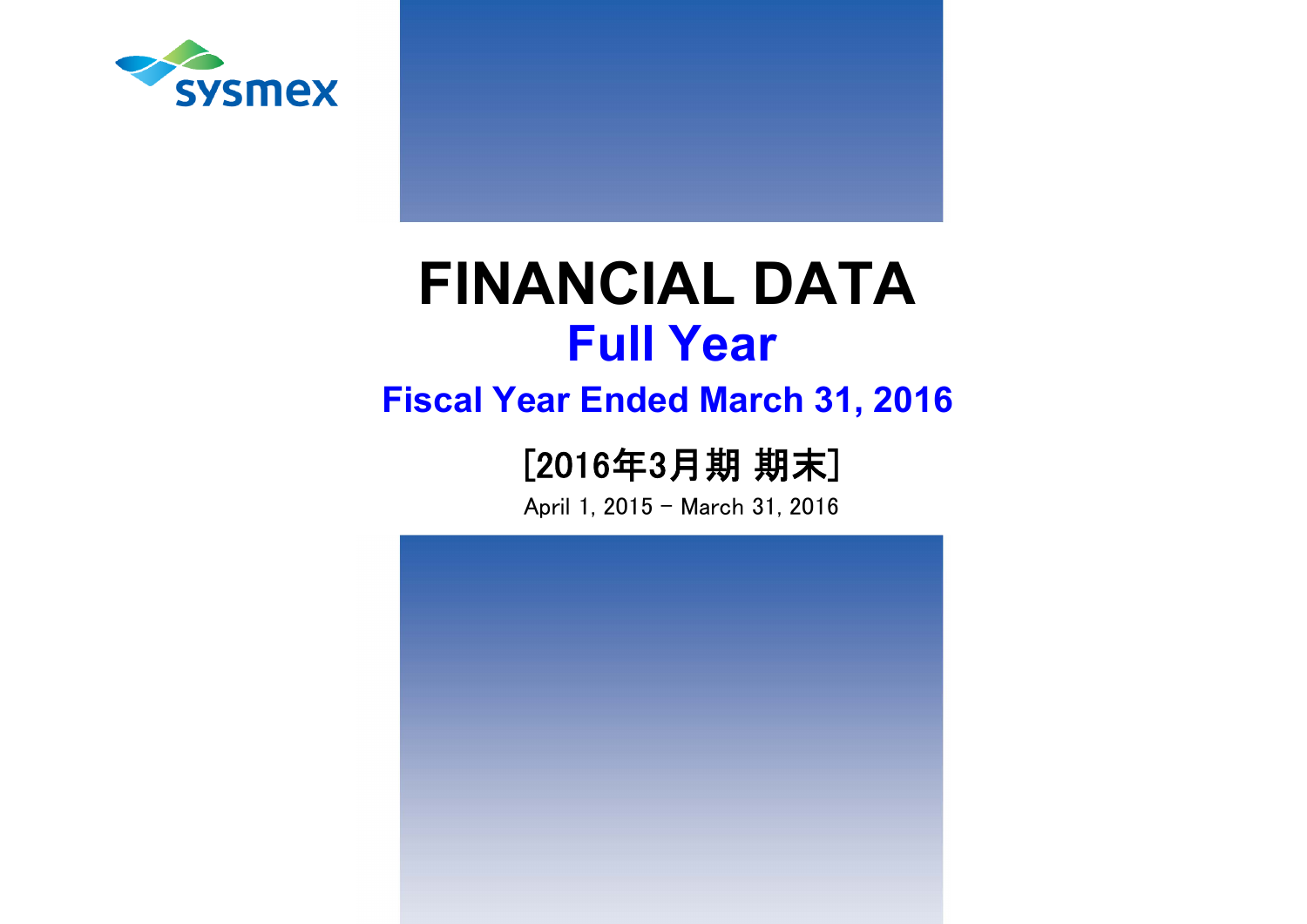

# **15 Tull Year FINANCIAL DATA Full Year**

# **Fiscal Year Ended March 31, 2016**

# [2016年3月期 期末]

April 1, 2015 - March 31, 2016

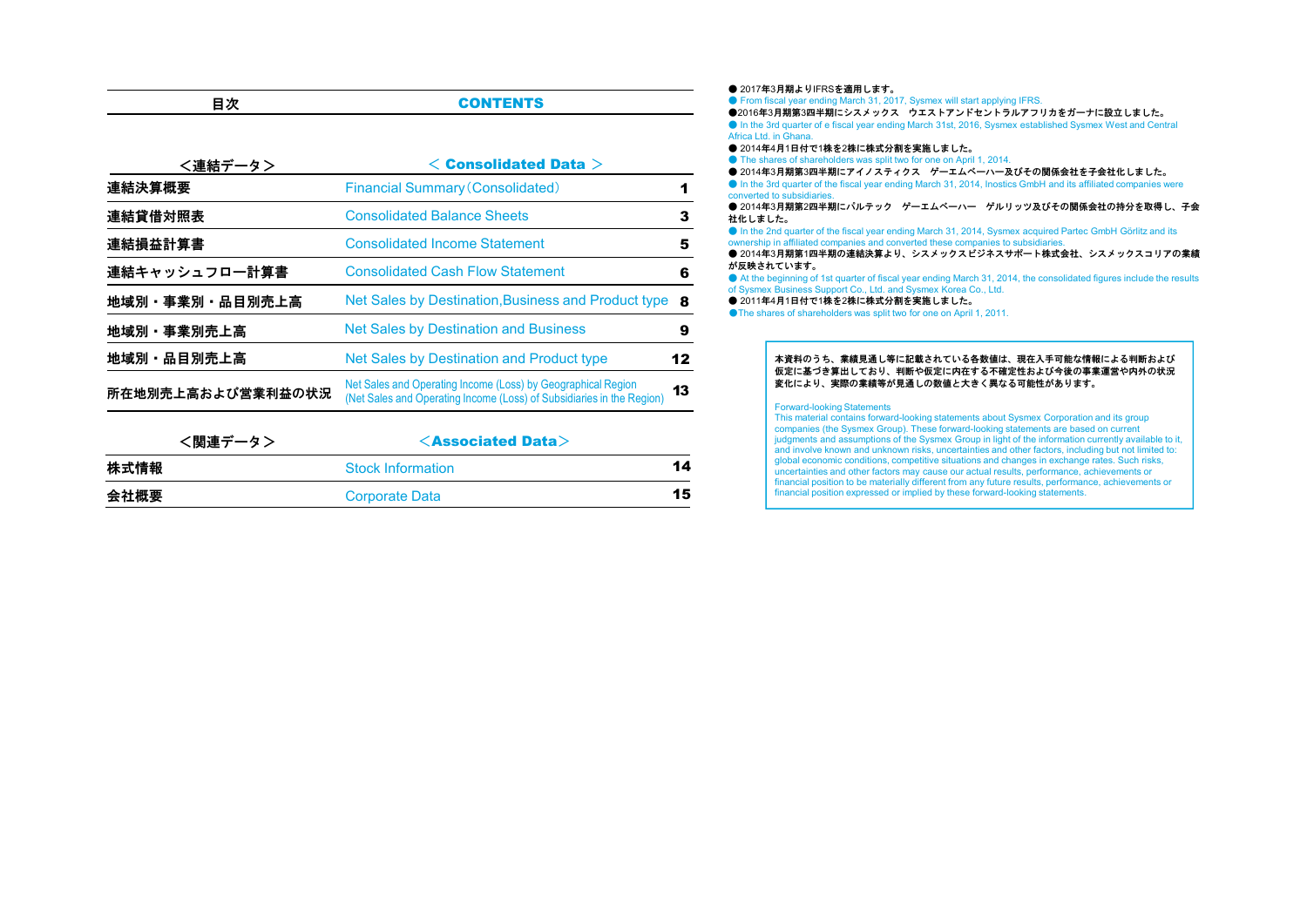| 次 | <b>CONTENTS</b> |
|---|-----------------|
|   |                 |

| <連結データ>           | $<$ Consolidated Data $>$                                                                                                             |    |
|-------------------|---------------------------------------------------------------------------------------------------------------------------------------|----|
| 連結決算概要            | <b>Financial Summary (Consolidated)</b>                                                                                               |    |
| 連結貸借対照表           | <b>Consolidated Balance Sheets</b>                                                                                                    | 3  |
| 連結損益計算書           | <b>Consolidated Income Statement</b>                                                                                                  | 5  |
| 連結キャッシュフロー計算書     | <b>Consolidated Cash Flow Statement</b>                                                                                               | 6  |
| 地域別・事業別・品目別売上高    | Net Sales by Destination, Business and Product type                                                                                   | 8  |
| 地域別・事業別売上高        | <b>Net Sales by Destination and Business</b>                                                                                          | 9  |
| 地域別·品目別売上高        | Net Sales by Destination and Product type                                                                                             | 12 |
| 所在地別売上高および営業利益の状況 | Net Sales and Operating Income (Loss) by Geographical Region<br>(Net Sales and Operating Income (Loss) of Subsidiaries in the Region) | 13 |

| <関連データ> | $\leq$ Associated Data $>$ |    |
|---------|----------------------------|----|
|         | <b>Stock Information</b>   | 14 |
|         | Corporate Data             | 15 |
|         |                            |    |

#### ● 2017年3月期よりIFRSを適用します。 ● From fiscal year ending March 31, 2017, Sysmex will start applying IFRS. ●2016年3月期第3四半期にシスメックス ウエストアンドセントラルアフリカをガーナに設立しました。 ● In the 3rd quarter of e fiscal year ending March 31st, 2016, Sysmex established Sysmex West and Central Africa Ltd. in Ghana. ● 2014年4月1日付で1株を2株に株式分割を実施しました。 ● The shares of shareholders was split two for one on April 1, 2014. ● 2014年3月期第3四半期にアイノスティクス ゲーエムベーハー及びその関係会社を子会社化しました。 ● In the 3rd quarter of the fiscal year ending March 31, 2014, Inostics GmbH and its affiliated companies were converted to subsidiaries. ● 2014年3月期第2四半期にパルテック ゲーエムベーハー ゲルリッツ及びその関係会社の持分を取得し、子会 社化しました。 ● In the 2nd quarter of the fiscal year ending March 31, 2014, Sysmex acquired Partec GmbH Görlitz and its ownership in affiliated companies and converted these companies to subsidiaries. ● 2014年3月期第1四半期の連結決算より、シスメックスピジネスサポート株式会社、シスメックスコリアの業績 が反映されています。 ● At the beginning of 1st quarter of fiscal year ending March 31, 2014, the consolidated figures include the results of Sysmex Business Support Co., Ltd. and Sysmex Korea Co., Ltd. ● 2011年4月1日付で1株を2株に株式分割を実施しました。 ●The shares of shareholders was split two for one on April 1, 2011. 本資料のうち、業績見通し等に記載されている各数値は、現在入手可能な情報による判断および 仮定に基づき算出しており、判断や仮定に内在する不確定性および今後の事業運営や内外の状況

#### 変化により、実際の業績等が見通しの数値と大きく異なる可能性があります。

#### Forward-looking Statements

This material contains forward-looking statements about Sysmex Corporation and its group companies (the Sysmex Group). These forward-looking statements are based on current judgments and assumptions of the Sysmex Group in light of the information currently available to it, and involve known and unknown risks, uncertainties and other factors, including but not limited to: global economic conditions, competitive situations and changes in exchange rates. Such risks, uncertainties and other factors may cause our actual results, performance, achievements or financial position to be materially different from any future results, performance, achievements or financial position expressed or implied by these forward-looking statements.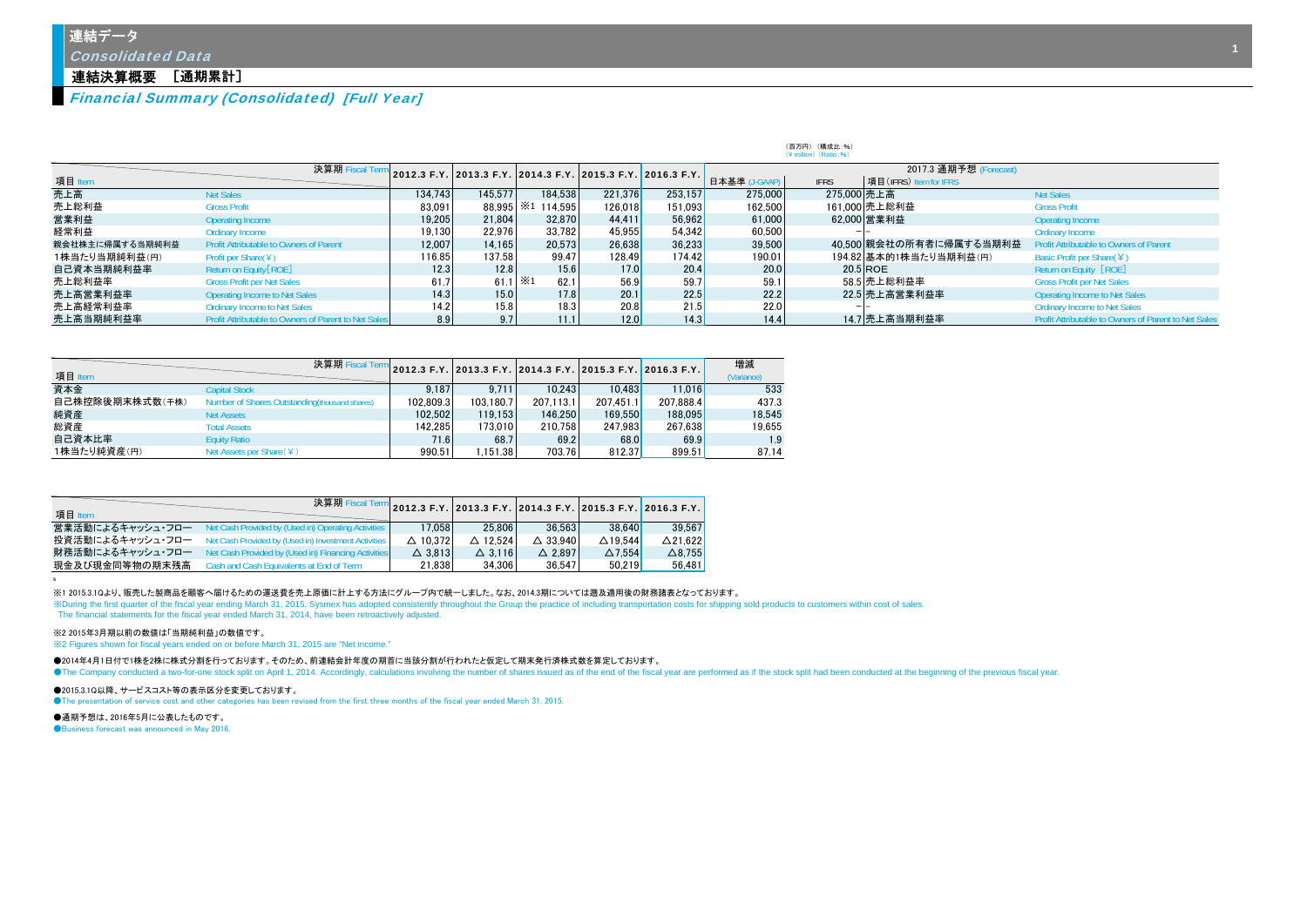Consolidated Data

#### 連結決算概要 [通期累計]

Financial Summary (Consolidated) [Full Year]

|                 |                                                      |         |                                                             |                   |         |                   | $(Y \text{ million})$ (Ratio: 96) |                                       |                         |                                                             |  |  |  |  |  |  |  |
|-----------------|------------------------------------------------------|---------|-------------------------------------------------------------|-------------------|---------|-------------------|-----------------------------------|---------------------------------------|-------------------------|-------------------------------------------------------------|--|--|--|--|--|--|--|
|                 | 決算期 Fiscal Te                                        |         | 2012.3 F.Y. 2013.3 F.Y. 2014.3 F.Y. 2015.3 F.Y. 2016.3 F.Y. |                   |         |                   |                                   |                                       |                         |                                                             |  |  |  |  |  |  |  |
| 項目 Item         |                                                      |         |                                                             |                   |         |                   | 日本基準 (J-GAAP)                     | <b>IFRS</b><br>項目(IFRS) Item for IFRS |                         |                                                             |  |  |  |  |  |  |  |
| 売上高             | <b>Net Sales</b>                                     | 134.743 | 145.577                                                     | 184.538           | 221.376 | 253.157           | 275,000                           | 275,000 売上高                           |                         | <b>Net Sales</b>                                            |  |  |  |  |  |  |  |
| 売上総利益           | <b>Gross Profit</b>                                  | 83.091  |                                                             | 88.995 *1 114.595 | 126.018 | 151.093           | 162.500                           |                                       | 161.000 売上総利益           | <b>Gross Profit</b>                                         |  |  |  |  |  |  |  |
| 営業利益            | Operating Income                                     | 19.205  | 21,804                                                      | 32.870            | 44,411  | 56.962            | 61,000                            |                                       | 62.000 営業利益             | Operating Income                                            |  |  |  |  |  |  |  |
| 経常利益            | Ordinary Income                                      | 19.130  | 22.976                                                      | 33.782            | 45.955  | 54.342            | 60.500                            |                                       |                         | <b>Ordinary Income</b>                                      |  |  |  |  |  |  |  |
| 親会社株主に帰属する当期純利益 | <b>Profit Attributable to Owners of Parent</b>       | 12.007  | 14.165                                                      | 20.573            | 26.638  | 36.233            | 39,500                            |                                       | 40.500 親会社の所有者に帰属する当期利益 | Profit Attributable to Owners of Parent                     |  |  |  |  |  |  |  |
| 1株当たり当期純利益(円)   | Profit per Share( $Y$ )                              | 116.85  | 137.58                                                      | 99.47             | 128.49  | 174.42            | 190.01                            |                                       | 194.82 基本的1株当たり当期利益(円)  | Basic Profit per Share( $\angle$ )                          |  |  |  |  |  |  |  |
| 自己資本当期純利益率      | Return on Equity [ROE]                               | 12.3    | 12.8                                                        | 15.6              | 17.0    | 20.4              | 20.0                              |                                       | $20.5$ ROE              | Return on Equity [ROE]                                      |  |  |  |  |  |  |  |
| 売上総利益率          | <b>Gross Profit per Net Sales</b>                    | 61.7    | 61.1 $\times$ 1                                             | 62.1              | 56.9    | 59.7              | 59.1                              |                                       | 58.5 売上総利益率             | <b>Gross Profit per Net Sales</b>                           |  |  |  |  |  |  |  |
| 売上高営業利益率        | <b>Operating Income to Net Sales</b>                 | 14.3    | 15.0                                                        | 17.8              | 20.1    | 22.5              | 22.2                              |                                       | 22.5 売上高営業利益率           | <b>Operating Income to Net Sales</b>                        |  |  |  |  |  |  |  |
| 売上高経常利益率        | <b>Ordinary Income to Net Sales</b>                  | 14.2    | 15.8                                                        | 18.3              | 20.8    | 21.5              | 22.0                              |                                       |                         | <b>Ordinary Income to Net Sales</b>                         |  |  |  |  |  |  |  |
| 売上高当期純利益率       | Profit Attributable to Owners of Parent to Net Sales | 8.9     | 9.7                                                         | 11.1              | 12.0    | 14.3 <sub>1</sub> | 14.4                              |                                       | 14.7 売上高当期利益率           | <b>Profit Attributable to Owners of Parent to Net Sales</b> |  |  |  |  |  |  |  |

(百万円) (構成比:%)

|                 | 決算期 Fiscal Terr                                |           |           |           |           | 2012.3 F.Y. 2013.3 F.Y. 2014.3 F.Y. 2015.3 F.Y. 2016.3 F.Y. 1 | 増減         |
|-----------------|------------------------------------------------|-----------|-----------|-----------|-----------|---------------------------------------------------------------|------------|
| 項目 Item         |                                                |           |           |           |           |                                                               | (Variance) |
| 資本金             | <b>Capital Stock</b>                           | 9.187     | 9.711     | 10.243    | 10.483    | 11.016                                                        | 533        |
| 自己株控除後期末株式数(千株) | Number of Shares Outstanding (thousand shares) | 102.809.3 | 103.180.7 | 207.113.1 | 207.451.1 | 207.888.4                                                     | 437.3      |
| 純資産             | <b>Net Assets</b>                              | 102.502   | 119.153   | 146.250   | 169.550   | 188,095                                                       | 18.545     |
| 総資産             | <b>Total Assets</b>                            | 142.285   | 173.010   | 210.758   | 247.983   | 267.638                                                       | 19.655     |
| 自己資本比率          | <b>Equity Ratio</b>                            | 71.6      | 68.7      | 69.2      | 68.0      | 69.9                                                          | 1.9        |
| 1株当たり純資産(円)     | Net Assets per Share (¥)                       | 990.51    | .151.38   | 703.76    | 812.37    | 899.51                                                        | 87.14      |

| 項目 Item          | ╱ 決算期 Fiscal Term 2012.3 F.Y. 2013.3 F.Y. 2014.3 F.Y. 2015.3 F.Y. 2016.3 F.Y. 2 |                    |                    |                    |                    |                    |
|------------------|---------------------------------------------------------------------------------|--------------------|--------------------|--------------------|--------------------|--------------------|
|                  | 営業活動によるキャッシュ・フロー Net Cash Provided by (Used in) Operating Activities            | 17.058             | 25.806             | 36.563             | 38.640             | 39.567             |
|                  | 投資活動によるキャッシュ・フロー Net Cash Provided by (Used in) Investment Activities           | $\triangle$ 10.372 | $\triangle$ 12.524 | $\triangle$ 33.940 | $\triangle$ 19.544 | $\triangle$ 21.622 |
| 財務活動によるキャッシュ・フロー | Net Cash Provided by (Used in) Financing Activities                             | $\triangle$ 3.813  | $\triangle$ 3.116  | $\triangle$ 2.897  | $\Delta$ 7.554     | $\triangle$ 8.755  |
| 現金及び現金同等物の期末残高   | Cash and Cash Equivalents at End of Term                                        | 21.838             | 34.306             | 36.547             | 50.219             | 56.481             |

※1 2015.3.1Qより、販売した製商品を顧客へ届けるための運送費を売上原価に計上する方法にグループ内で統一しました。なお、2014.3期については遡及適用後の財務諸表となっております。

XXDuring the first quarter of the fiscal year ending March 31, 2015, Sysmex has adopted consistently throughout the Group the practice of including transportation costs for shipping sold products to customers within cost o The financial statements for the fiscal year ended March 31, 2014, have been retroactively adjusted.

#### ※2 2015年3月期以前の数値は「当期純利益」の数値です。

※2 Figures shown for fiscal years ended on or before March 31, 2015 are "Net income."

●2014年4月1日付で1株を2株に株式分割を行っております。そのため、前連結会計年度の期首に当該分割が行われたと仮定して期末発行済株式数を算定しております。 The Company conducted a two-for-one stock split on April 1, 2014. Accordingly, calculations involving the number of shares issued as of the end of the fiscal year are performed as if the stock split had been conducted at t

●2015.3.1Q以降、サービスコスト等の表示区分を変更しております。

●The presentation of service cost and other categories has been revised from the first three months of the fiscal year ended March 31, 2015.

●通期予想は、2016年5月に公表したものです。

s

●Business forecast was announced in May 2016.

1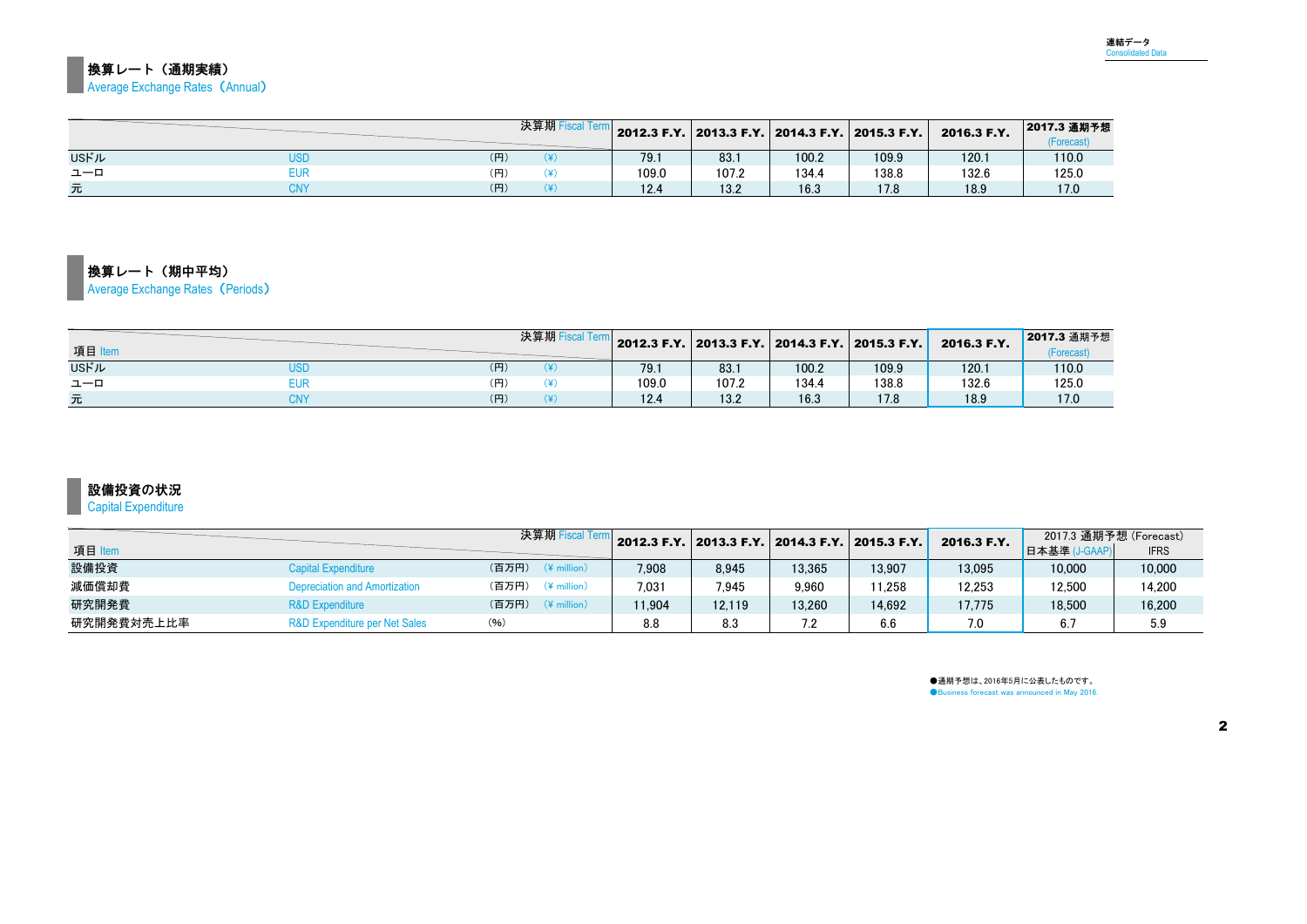## |<br>換算レート(通期実績) **Average Exchange Rates (Annual)**

|              |     | 決算期 Fiscal |       |       |       | 2012.3 F.Y.   2013.3 F.Y.   2014.3 F.Y.   2015.3 F.Y. | 2016.3 F.Y. | 2017.3 通期予想<br>Forecast |
|--------------|-----|------------|-------|-------|-------|-------------------------------------------------------|-------------|-------------------------|
| <b>USFJL</b> | (円) |            | 79.1  | 83.1  | 100.2 | 109.9                                                 | 120.1       | 110.0                   |
| ユーロ          |     |            | 109.0 | 107.2 | 134.4 | 138.8                                                 | 132.6       | 125.0                   |
| 元            | (円) |            | 12.4  | 13.2  | 16.3  | 170                                                   | 18.9        | 17.0                    |

## 換算レート(期中平均)

Average Exchange Rates (Periods)

| 項目   |     | 決算期 |       |       |       | $\vert$ 2012.3 F.Y. 2013.3 F.Y. 2014.3 F.Y. 2015.3 F.Y. | 2016.3 F.Y. | 2017.3 通期予想<br>(Forecast |
|------|-----|-----|-------|-------|-------|---------------------------------------------------------|-------------|--------------------------|
| USドル | (円) |     | 79.1  | 83.1  | 100.2 | 109.9                                                   | 120.1       | 110.0                    |
| ユーロ  | (円) |     | 109.0 | 107.2 | 134.4 | 138.8                                                   | 132.6       | 125.0                    |
| 元    | (円) |     | 12.4  | 13.2  | 16.3  | 17.8                                                    | 18.9        | 17.0                     |

## 設備投資の状況

Capital Expenditure

|            |                                      | 決算期 Fiscal Teri                  |        |        | 2012.3 F.Y. 2013.3 F.Y. 2014.3 F.Y. 2015.3 F.Y. |        | 2016.3 F.Y. | 2017.3 通期予想 (Forecast) |             |
|------------|--------------------------------------|----------------------------------|--------|--------|-------------------------------------------------|--------|-------------|------------------------|-------------|
| 項目 Item    |                                      |                                  |        |        |                                                 |        |             | 日本基準                   | <b>IFRS</b> |
| 設備投資       | Capital Expenditure                  | (百万円)<br>$(\frac{4}{3})$ million | 7,908  | 8.945  | 13.365                                          | 13.907 | 13.095      | 10,000                 | 10.000      |
| 減価償却費      | <b>Depreciation and Amortization</b> | (百万円)<br>$(*$ million)           | 7.031  | 7.945  | 9.960                                           | 11.258 | 12.253      | 12.500                 | 14.200      |
| 研究開発費      | <b>R&amp;D Expenditure</b>           | (百万円)<br>$(\frac{4}{3})$ million | 11.904 | 12.119 | 13.260                                          | 14.692 | 17.775      | 18.500                 | 16.200      |
| 研究開発費対売上比率 | R&D Expenditure per Net Sales        | (96)                             | 8.8    | 8.3    |                                                 | 6.6    | 7.0         | 6.7                    | 5.9         |

●通期予想は、2016年5月に公表したものです。<br>●Business forecast was announced in May 2016.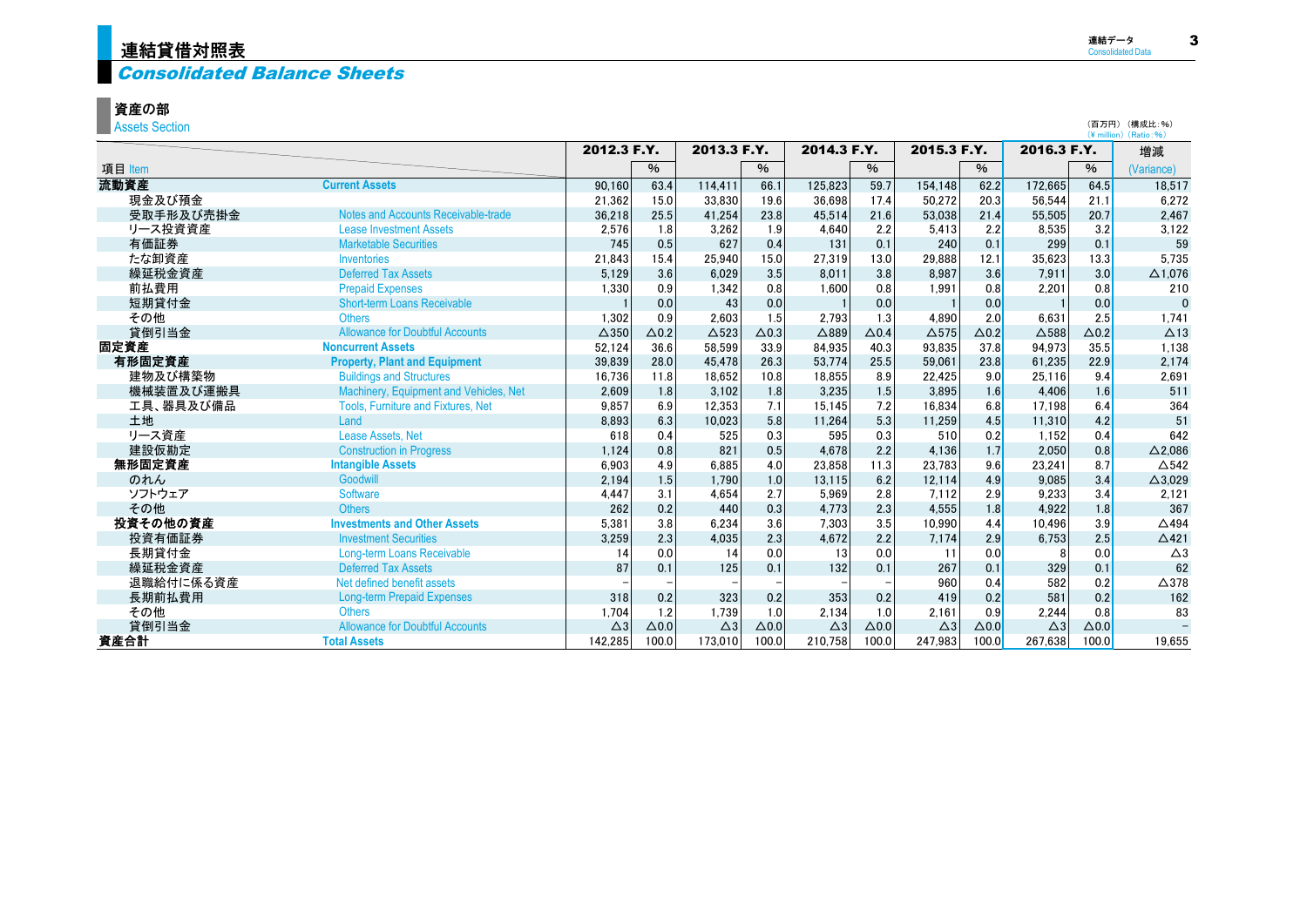# <mark>連結貸借対照表</mark>

# **Consolidated Balance Sheets**

## 資産の部

**Assets Section** 

| <b>ADDED OCCUPIT</b> |                                           |                 |               |                 |                 |                 |              |               |                 |                 | (¥ million) (Ratio: %) |                   |
|----------------------|-------------------------------------------|-----------------|---------------|-----------------|-----------------|-----------------|--------------|---------------|-----------------|-----------------|------------------------|-------------------|
|                      |                                           | 2012.3 F.Y.     |               | 2013.3 F.Y.     |                 | 2014.3 F.Y.     |              | 2015.3 F.Y.   |                 | 2016.3 F.Y.     |                        | 増減                |
| 項目 Item              |                                           |                 | $\frac{0}{6}$ |                 | $\%$            |                 | %            |               | $\%$            |                 | $\%$                   | (Variance)        |
| 流動資産                 | <b>Current Assets</b>                     | 90.160          | 63.4          | 114.411         | 66.1            | 125.823         | 59.7         | 154.148       | 62.2            | 172.665         | 64.5                   | 18,517            |
| 現金及び預金               |                                           | 21.362          | 15.0          | 33.830          | 19.6            | 36.698          | 17.4         | 50.272        | 20.3            | 56.544          | 21.1                   | 6.272             |
| 受取手形及び売掛金            | Notes and Accounts Receivable-trade       | 36,218          | 25.5          | 41.254          | 23.8            | 45,514          | 21.6         | 53.038        | 21.4            | 55,505          | 20.7                   | 2,467             |
| リース投資資産              | <b>Lease Investment Assets</b>            | 2,576           | 1.8           | 3.262           | 1.9             | 4.640           | 2.2          | 5.413         | 2.2             | 8,535           | 3.2                    | 3,122             |
| 有価証券                 | <b>Marketable Securities</b>              | 745             | 0.5           | 627             | 0.4             | 131             | 0.1          | 240           | 0.1             | 299             | 0.1                    | 59                |
| たな卸資産                | Inventories                               | 21,843          | 15.4          | 25.940          | 15.0            | 27,319          | 13.0         | 29,888        | 12.1            | 35.623          | 13.3                   | 5,735             |
| 繰延税金資産               | <b>Deferred Tax Assets</b>                | 5,129           | 3.6           | 6.029           | 3.5             | 8,011           | 3.8          | 8.987         | 3.6             | 7.911           | 3.0                    | $\Delta$ 1,076    |
| 前払費用                 | <b>Prepaid Expenses</b>                   | 1.330           | 0.9           | 1.342           | 0.8             | 1.600           | 0.8          | 1.991         | 0.8             | 2.201           | 0.8                    | 210               |
| 短期貸付金                | <b>Short-term Loans Receivable</b>        |                 | 0.0           | 43              | 0.0             |                 | 0.0          |               | 0.0             |                 | 0.0                    | $\mathbf{0}$      |
| その他                  | <b>Others</b>                             | 1.302           | 0.9           | 2.603           | 1.5             | 2.793           | 1.3          | 4.890         | 2.0             | 6.631           | 2.5                    | 1.741             |
| 貸倒引当金                | <b>Allowance for Doubtful Accounts</b>    | $\triangle$ 350 | $\Delta$ 0.2  | $\triangle$ 523 | $\triangle$ 0.3 | $\triangle$ 889 | $\Delta$ 0.4 | $\Delta$ 575  | $\triangle$ 0.2 | $\triangle$ 588 | $\Delta$ 0.2           | $\Delta$ 13       |
| 固定資産                 | <b>Noncurrent Assets</b>                  | 52,124          | 36.6          | 58.599          | 33.9            | 84.935          | 40.3         | 93,835        | 37.8            | 94.973          | 35.5                   | 1.138             |
| 有形固定資産               | <b>Property, Plant and Equipment</b>      | 39.839          | 28.0          | 45.478          | 26.3            | 53.774          | 25.5         | 59.061        | 23.8            | 61.235          | 22.9                   | 2.174             |
| 建物及び構築物              | <b>Buildings and Structures</b>           | 16,736          | 11.8          | 18.652          | 10.8            | 18,855          | 8.9          | 22,425        | 9.0             | 25,116          | 9.4                    | 2,691             |
| 機械装置及び運搬具            | Machinery, Equipment and Vehicles, Net    | 2,609           | 1.8           | 3.102           | 1.8             | 3,235           | 1.5          | 3.895         | 1.6             | 4.406           | 1.6                    | 511               |
| 工具、器具及び備品            | <b>Tools, Furniture and Fixtures, Net</b> | 9,857           | 6.9           | 12,353          | 7.1             | 15.145          | 7.2          | 16,834        | 6.8             | 17.198          | 6.4                    | 364               |
| 土地                   | Land                                      | 8.893           | 6.3           | 10.023          | 5.8             | 11.264          | 5.3          | 11,259        | 4.5             | 11.310          | 4.2                    | 51                |
| リース資産                | Lease Assets, Net                         | 618             | 0.4           | 525             | 0.3             | 595             | 0.3          | 510           | 0.2             | 1.152           | 0.4                    | 642               |
| 建設仮勘定                | <b>Construction in Progress</b>           | 1.124           | 0.8           | 821             | 0.5             | 4,678           | 2.2          | 4.136         | 1.7             | 2.050           | 0.8                    | $\Delta$ 2,086    |
| 無形固定資産               | <b>Intangible Assets</b>                  | 6.903           | 4.9           | 6.885           | 4.0             | 23.858          | 11.3         | 23.783        | 9.6             | 23.241          | 8.7                    | $\triangle$ 542   |
| のれん                  | Goodwill                                  | 2,194           | 1.5           | 1.790           | 1.0             | 13.115          | 6.2          | 12.114        | 4.9             | 9.085           | 3.4                    | $\triangle$ 3,029 |
| ソフトウェア               | Software                                  | 4,447           | 3.1           | 4.654           | 2.7             | 5,969           | 2.8          | 7.112         | 2.9             | 9,233           | 3.4                    | 2,121             |
| その他                  | <b>Others</b>                             | 262             | 0.2           | 440             | 0.3             | 4.773           | 2.3          | 4.555         | 1.8             | 4.922           | 1.8                    | 367               |
| 投資その他の資産             | <b>Investments and Other Assets</b>       | 5.381           | 3.8           | 6.234           | 3.6             | 7.303           | 3.5          | 10.990        | 4.4             | 10.496          | 3.9                    | $\triangle$ 494   |
| 投資有価証券               | <b>Investment Securities</b>              | 3,259           | 2.3           | 4.035           | 2.3             | 4.672           | 2.2          | 7.174         | 2.9             | 6,753           | 2.5                    | $\triangle$ 421   |
| 長期貸付金                | Long-term Loans Receivable                | 14              | 0.0           | 14              | 0.0             | 13              | 0.0          | 11            | 0.0             |                 | 0.0                    | $\triangle 3$     |
| 繰延税金資産               | <b>Deferred Tax Assets</b>                | 87              | 0.1           | 125             | 0.1             | 132             | 0.1          | 267           | 0.1             | 329             | 0.1                    | 62                |
| 退職給付に係る資産            | Net defined benefit assets                |                 |               |                 |                 |                 |              | 960           | 0.4             | 582             | 0.2                    | $\triangle$ 378   |
| 長期前払費用               | <b>Long-term Prepaid Expenses</b>         | 318             | 0.2           | 323             | 0.2             | 353             | 0.2          | 419           | 0.2             | 581             | 0.2                    | 162               |
| その他                  | <b>Others</b>                             | 1.704           | 1.2           | 1.739           | 1.0             | 2.134           | 1.0          | 2.161         | 0.9             | 2.244           | 0.8                    | 83                |
| 貸倒引当金                | <b>Allowance for Doubtful Accounts</b>    | $\triangle$ 3   | $\Delta 0.0$  | $\triangle 3$   | $\Delta 0.0$    | $\triangle 3$   | $\Delta 0.0$ | $\triangle 3$ | $\Delta 0.0$    | $\triangle 3$   | $\Delta 0.0$           |                   |
| 資産合計                 | <b>Total Assets</b>                       | 142,285         | 100.0         | 173.010         | 100.0           | 210,758         | 100.0        | 247,983       | 100.0           | 267,638         | 100.0                  | 19.655            |

(百万円) (構成比:%)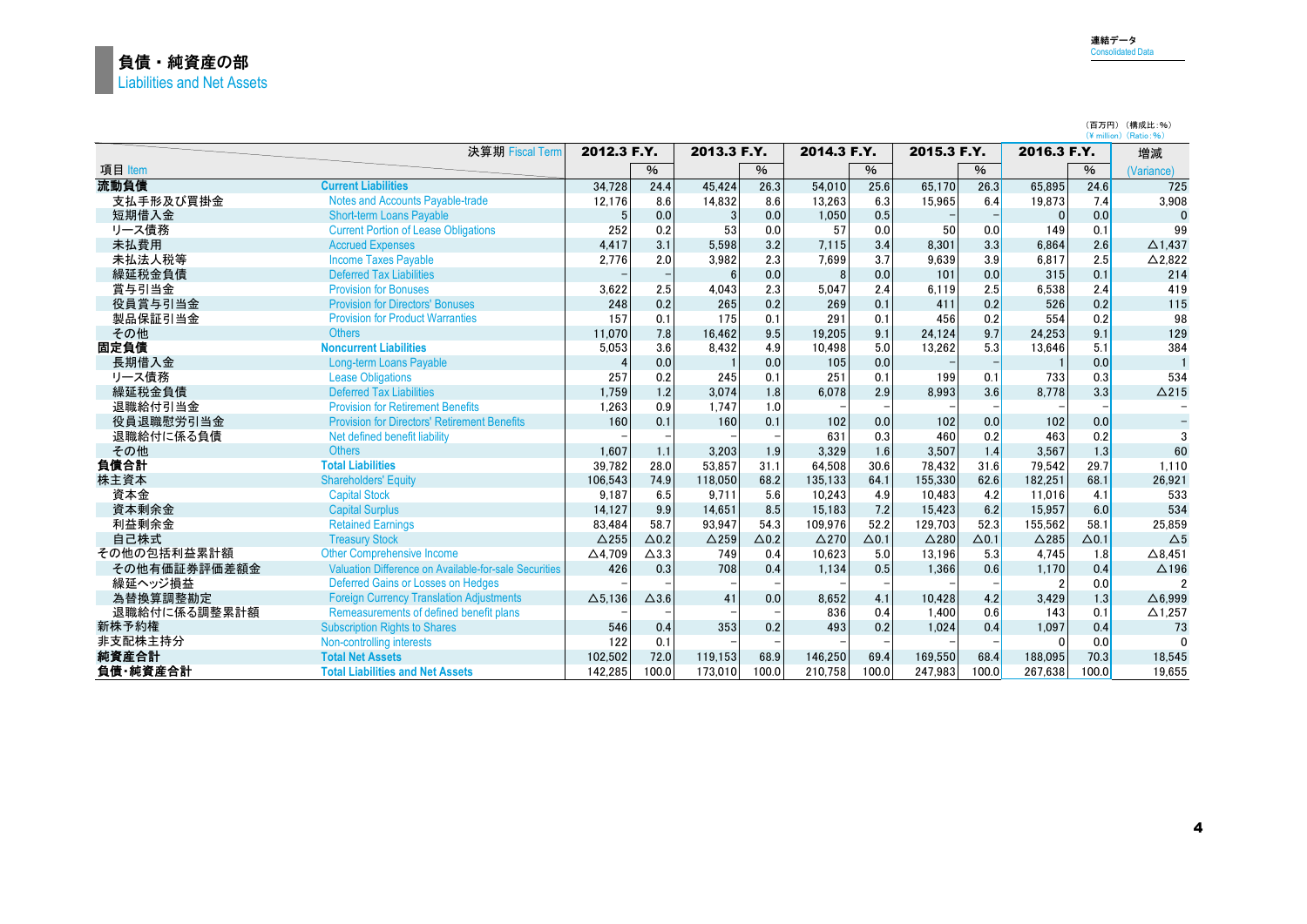(百万円) (構成比:%)

|              |                                                       |                   |                 |                 |              |                 |              |                 |              |                 |              | (¥ million) (Ratio:%)    |
|--------------|-------------------------------------------------------|-------------------|-----------------|-----------------|--------------|-----------------|--------------|-----------------|--------------|-----------------|--------------|--------------------------|
|              | 決算期 Fiscal Term                                       | 2012.3 F.Y.       |                 | 2013.3 F.Y.     |              | 2014.3 F.Y.     |              | 2015.3 F.Y.     |              | 2016.3 F.Y.     |              | 増減                       |
| 項目 Item      |                                                       |                   | %               |                 | $\%$         |                 | $\%$         |                 | $\%$         |                 | $\%$         | (Variance)               |
| 流動負債         | <b>Current Liabilities</b>                            | 34,728            | 24.4            | 45.424          | 26.3         | 54.010          | 25.6         | 65.170          | 26.3         | 65.895          | 24.6         | 725                      |
| 支払手形及び買掛金    | <b>Notes and Accounts Payable-trade</b>               | 12,176            | 8.6             | 14,832          | 8.6          | 13,263          | 6.3          | 15,965          | 6.4          | 19,873          | 7.4          | 3,908                    |
| 短期借入金        | <b>Short-term Loans Payable</b>                       | 5                 | 0.0             | 3               | 0.0          | 1,050           | 0.5          |                 |              |                 | 0.0          | $\Omega$                 |
| リース債務        | <b>Current Portion of Lease Obligations</b>           | 252               | 0.2             | 53              | 0.0          | 57              | 0.0          | 50              | 0.0          | 149             | 0.1          | 99                       |
| 未払費用         | <b>Accrued Expenses</b>                               | 4,417             | 3.1             | 5.598           | 3.2          | 7.115           | 3.4          | 8.301           | 3.3          | 6.864           | 2.6          | $\Delta$ 1,437           |
| 未払法人税等       | <b>Income Taxes Payable</b>                           | 2,776             | 2.0             | 3.982           | 2.3          | 7,699           | 3.7          | 9.639           | 3.9          | 6.817           | 2.5          | $\triangle$ 2,822        |
| 繰延税金負債       | <b>Deferred Tax Liabilities</b>                       |                   |                 | $6\overline{6}$ | 0.0          | 8               | 0.0          | 101             | 0.0          | 315             | 0.1          | 214                      |
| 賞与引当金        | <b>Provision for Bonuses</b>                          | 3,622             | 2.5             | 4.043           | 2.3          | 5.047           | 2.4          | 6.119           | 2.5          | 6,538           | 2.4          | 419                      |
| 役員賞与引当金      | <b>Provision for Directors' Bonuses</b>               | 248               | 0.2             | 265             | 0.2          | 269             | 0.1          | 411             | 0.2          | 526             | 0.2          | 115                      |
| 製品保証引当金      | <b>Provision for Product Warranties</b>               | 157               | 0.1             | 175             | 0.1          | 291             | 0.1          | 456             | 0.2          | 554             | 0.2          | 98                       |
| その他          | <b>Others</b>                                         | 11.070            | 7.8             | 16.462          | 9.5          | 19.205          | 9.1          | 24.124          | 9.7          | 24.253          | 9.1          | 129                      |
| 固定負債         | <b>Noncurrent Liabilities</b>                         | 5,053             | 3.6             | 8.432           | 4.9          | 10.498          | 5.0          | 13.262          | 5.3          | 13.646          | 5.1          | 384                      |
| 長期借入金        | Long-term Loans Payable                               |                   | 0.0             |                 | 0.0          | 105             | 0.0          |                 |              |                 | 0.0          |                          |
| リース債務        | <b>Lease Obligations</b>                              | 257               | 0.2             | 245             | 0.1          | 251             | 0.1          | 199             | 0.1          | 733             | 0.3          | 534                      |
| 繰延税金負債       | <b>Deferred Tax Liabilities</b>                       | 1,759             | 1.2             | 3.074           | 1.8          | 6,078           | 2.9          | 8.993           | 3.6          | 8,778           | 3.3          | $\Delta$ 215             |
| 退職給付引当金      | <b>Provision for Retirement Benefits</b>              | 1,263             | 0.9             | 1.747           | 1.0          |                 |              |                 |              |                 |              |                          |
| 役員退職慰労引当金    | <b>Provision for Directors' Retirement Benefits</b>   | 160               | 0.1             | 160             | 0.1          | 102             | 0.0          | 102             | 0.0          | 102             | 0.0          | $\overline{\phantom{a}}$ |
| 退職給付に係る負債    | Net defined benefit liability                         |                   |                 |                 |              | 631             | 0.3          | 460             | 0.2          | 463             | 0.2          | 3                        |
| その他          | <b>Others</b>                                         | 1,607             | 1.1             | 3.203           | 1.9          | 3,329           | 1.6          | 3,507           | 1.4          | 3,567           | 1.3          | 60                       |
| 負債合計         | <b>Total Liabilities</b>                              | 39,782            | 28.0            | 53.857          | 31.1         | 64.508          | 30.6         | 78,432          | 31.6         | 79.542          | 29.7         | 1.110                    |
| 株主資本         | <b>Shareholders' Equity</b>                           | 106,543           | 74.9            | 118.050         | 68.2         | 135.133         | 64.1         | 155,330         | 62.6         | 182.251         | 68.1         | 26,921                   |
| 資本金          | <b>Capital Stock</b>                                  | 9.187             | 6.5             | 9.711           | 5.6          | 10.243          | 4.9          | 10.483          | 4.2          | 11.016          | 4.1          | 533                      |
| 資本剰余金        | <b>Capital Surplus</b>                                | 14,127            | 9.9             | 14.651          | 8.5          | 15.183          | 7.2          | 15.423          | 6.2          | 15.957          | 6.0          | 534                      |
| 利益剰余金        | <b>Retained Earnings</b>                              | 83,484            | 58.7            | 93.947          | 54.3         | 109.976         | 52.2         | 129.703         | 52.3         | 155.562         | 58.1         | 25.859                   |
| 自己株式         | <b>Treasury Stock</b>                                 | $\triangle$ 255   | $\Delta$ 0.2    | $\triangle$ 259 | $\Delta$ 0.2 | $\triangle$ 270 | $\Delta$ 0.1 | $\triangle$ 280 | $\Delta$ 0.1 | $\triangle$ 285 | $\Delta$ 0.1 | $\Delta$ 5               |
| その他の包括利益累計額  | <b>Other Comprehensive Income</b>                     | $\triangle$ 4.709 | $\triangle$ 3.3 | 749             | 0.4          | 10.623          | 5.0          | 13.196          | 5.3          | 4.745           | 1.8          | $\triangle$ 8.451        |
| その他有価証券評価差額金 | Valuation Difference on Available-for-sale Securities | 426               | 0.3             | 708             | 0.4          | 1.134           | 0.5          | 1.366           | 0.6          | 1.170           | 0.4          | $\triangle$ 196          |
| 繰延ヘッジ損益      | Deferred Gains or Losses on Hedges                    |                   |                 |                 |              |                 |              |                 |              |                 | 0.0          | 2                        |
| 為替換算調整勘定     | <b>Foreign Currency Translation Adjustments</b>       | $\Delta$ 5,136    | $\Delta$ 3.6    | 41              | 0.0          | 8,652           | 4.1          | 10,428          | 4.2          | 3,429           | 1.3          | $\triangle$ 6.999        |
| 退職給付に係る調整累計額 | Remeasurements of defined benefit plans               |                   |                 |                 |              | 836             | 0.4          | 1,400           | 0.6          | 143             | 0.1          | $\Delta$ 1,257           |
| 新株予約権        | <b>Subscription Rights to Shares</b>                  | 546               | 0.4             | 353             | 0.2          | 493             | 0.2          | 1.024           | 0.4          | 1.097           | 0.4          | 73                       |
| 非支配株主持分      | Non-controlling interests                             | 122               | 0.1             |                 |              |                 |              |                 |              |                 | 0.0          | $\Omega$                 |
| 純資産合計        | <b>Total Net Assets</b>                               | 102,502           | 72.0            | 119.153         | 68.9         | 146,250         | 69.4         | 169,550         | 68.4         | 188.095         | 70.3         | 18,545                   |
| 負債·純資産合計     | <b>Total Liabilities and Net Assets</b>               | 142,285           | 100.0           | 173,010         | 100.0        | 210.758         | 100.0        | 247.983         | 100.0        | 267.638         | 100.0        | 19.655                   |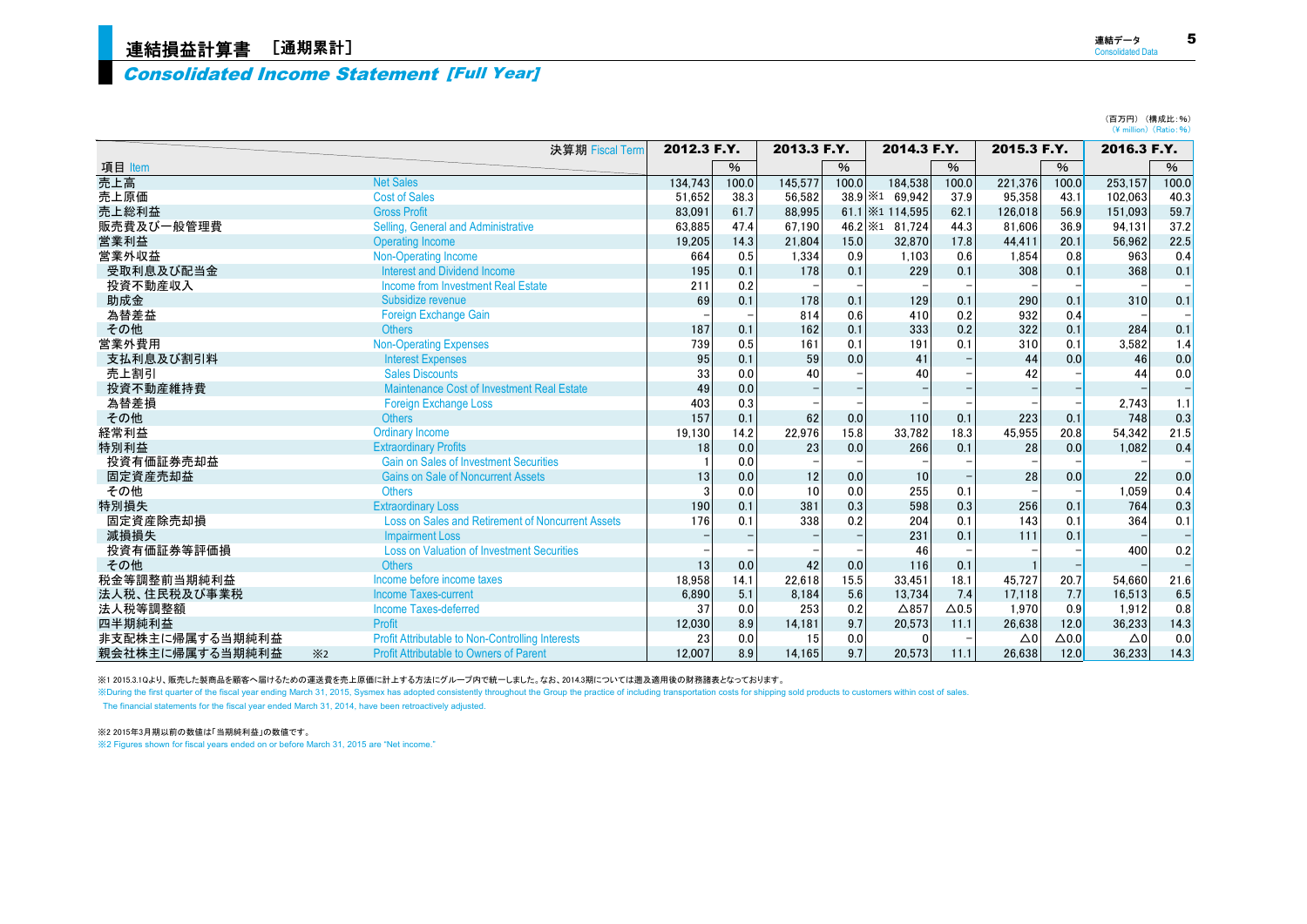# <sup>5</sup> 連結損益計算書 [通期累計]

### Consolidated Income Statement [Full Year]

| 売上高          | <b>Net Sales</b>                                         | 134.743 | 100.0 | 145,577 | 100.0           | 184,538                   | 100.0        | 221,376 | 100.0 | 253,157 | 100.0 |
|--------------|----------------------------------------------------------|---------|-------|---------|-----------------|---------------------------|--------------|---------|-------|---------|-------|
| 売上原価         | <b>Cost of Sales</b>                                     | 51,652  | 38.3  | 56.582  | $38.9 \times 1$ | 69,942                    | 37.9         | 95,358  | 43.1  | 102,063 | 40.3  |
| 売上総利益        | <b>Gross Profit</b>                                      | 83.091  | 61.7  | 88.995  |                 | 61.1   $\times$ 1 114,595 | 62.1         | 126.018 | 56.9  | 151.093 | 59.7  |
| 販売費及び一般管理費   | Selling, General and Administrative                      | 63,885  | 47.4  | 67.190  | $46.2 \times 1$ | 81.724                    | 44.3         | 81.606  | 36.9  | 94,131  | 37.2  |
| 営業利益         | Operating Income                                         | 19,205  | 14.3  | 21,804  | 15.0            | 32,870                    | 17.8         | 44,411  | 20.1  | 56,962  | 22.5  |
| 営業外収益        | Non-Operating Income                                     | 664     | 0.5   | 1,334   | 0.9             | 1.103                     | 0.6          | 1.854   | 0.8   | 963     | 0.4   |
| 受取利息及び配当金    | <b>Interest and Dividend Income</b>                      | 195     | 0.1   | 178     | 0.1             | 229                       | 0.1          | 308     | 0.1   | 368     | 0.1   |
| 投資不動産収入      | Income from Investment Real Estate                       | 211     | 0.2   |         |                 |                           |              |         |       |         |       |
| 助成金          | Subsidize revenue                                        | 69      | 0.1   | 178     | 0.1             | 129                       | 0.1          | 290     | 0.1   | 310     | 0.1   |
| 為替差益         | Foreign Exchange Gain                                    |         |       | 814     | 0.6             | 410                       | 0.2          | 932     | 0.4   |         |       |
| その他          | <b>Others</b>                                            | 187     | 0.1   | 162     | 0.1             | 333                       | 0.2          | 322     | 0.1   | 284     | 0.1   |
| 営業外費用        | <b>Non-Operating Expenses</b>                            | 739     | 0.5   | 161     | 0.1             | 191                       | 0.1          | 310     | 0.1   | 3,582   | 1.4   |
| 支払利息及び割引料    | <b>Interest Expenses</b>                                 | 95      | 0.1   | 59      | 0.0             | 41                        |              | 44      | 0.0   | 46      | 0.0   |
| 売上割引         | <b>Sales Discounts</b>                                   | 33      | 0.0   | 40      |                 | 40                        |              | 42      |       | 44      | 0.0   |
| 投資不動産維持費     | Maintenance Cost of Investment Real Estate               | 49      | 0.0   |         |                 |                           |              |         |       |         |       |
| 為替差損         | <b>Foreign Exchange Loss</b>                             | 403     | 0.3   |         |                 |                           |              |         |       | 2,743   | 1.1   |
| その他          | <b>Others</b>                                            | 157     | 0.1   | 62      | 0.0             | 110                       | 0.1          | 223     | 0.1   | 748     | 0.3   |
| 経常利益         | <b>Ordinary Income</b>                                   | 19,130  | 14.2  | 22,976  | 15.8            | 33,782                    | 18.3         | 45,955  | 20.8  | 54,342  | 21.5  |
| 特別利益         | <b>Extraordinary Profits</b>                             | 18      | 0.0   | 23      | 0.0             | 266                       | 0.1          | 28      | 0.0   | 1.082   | 0.4   |
| 投資有価証券売却益    | <b>Gain on Sales of Investment Securities</b>            |         | 0.0   |         |                 |                           |              |         |       |         |       |
| 固定資産売却益      | <b>Gains on Sale of Noncurrent Assets</b>                | 13      | 0.0   | 12      | 0.0             | 10                        |              | 28      | 0.0   | 22      | 0.0   |
| その他          | <b>Others</b>                                            |         | 0.0   | 10      | 0.0             | 255                       | 0.1          |         |       | 1,059   | 0.4   |
| 特別損失         | <b>Extraordinary Loss</b>                                | 190     | 0.1   | 381     | 0.3             | 598                       | 0.3          | 256     | 0.1   | 764     | 0.3   |
| 固定資産除売却損     | <b>Loss on Sales and Retirement of Noncurrent Assets</b> | 176     | 0.1   | 338     | 0.2             | 204                       | 0.1          | 143     | 0.1   | 364     | 0.1   |
| 減損損失         | <b>Impairment Loss</b>                                   |         |       |         |                 | 231                       | 0.1          | 111     | 0.1   |         |       |
| 投資有価証券等評価損   | <b>Loss on Valuation of Investment Securities</b>        |         |       |         |                 | 46                        |              |         |       | 400     | 0.2   |
| その他          | <b>Others</b>                                            | 13      | 0.0   | 42      | 0.0             | 116                       | 0.1          |         |       |         |       |
| 税金等調整前当期純利益  | Income before income taxes                               | 18.958  | 14.1  | 22.618  | 15.5            | 33.451                    | 18.1         | 45,727  | 20.7  | 54.660  | 21.6  |
| 法人税、住民税及び事業税 | <b>Income Taxes-current</b>                              | 6,890   | 5.1   | 8,184   | 5.6             | 13,734                    | 7.4          | 17,118  | 7.7   | 16,513  | 6.5   |
| 法人税等調整額      | Income Taxes-deferred                                    | 37      | 0.0   | 253     | 0.2             | $\triangle$ 857           | $\Delta$ 0.5 | 1.970   | 0.9   | 1.912   | 0.8   |

四半期純利益 Profit 12,030 8.9 14,181 9.7 20,573 11.1 26,638 12.0 36,233 14.3 非支配株主に帰属する当期純利益 Profit Attributable to Non-Controlling Interests 23 0.0 15 0.0 0 - △0 △0.0 △0 0.0 - 親会社株主に帰属する当期純利益 ※2 Profit Attributable to Owners of Parent 12,007 8.9 14,165 9.7 20,573 11.1 26,638 12.0 36,233 14.3

項目 Item % % % % %

決算期 Fiscal Term 2012.3 F.Y. 2013.3 F.Y. 2014.3 F.Y. 2015.3 F.Y. 2016.3 F.Y.

※1 2015.3.1Qより、販売した製商品を顧客へ届けるための運送費を売上原価に計上する方法にグループ内で統一しました。なお、2014.3期については遡及適用後の財務諸表となっております。

※During the first quarter of the fiscal year ending March 31, 2015, Sysmex has adopted consistently throughout the Group the practice of including transportation costs for shipping sold products to customers within cost of

The financial statements for the fiscal year ended March 31, 2014, have been retroactively adjusted.

※2

※2 2015年3月期以前の数値は「当期純利益」の数値です。

※2 Figures shown for fiscal years ended on or before March 31, 2015 are "Net income."

(百万円) (構成比:%)  $(\frac{4}{\sqrt{2}}$  million)  $(Ratio: % )$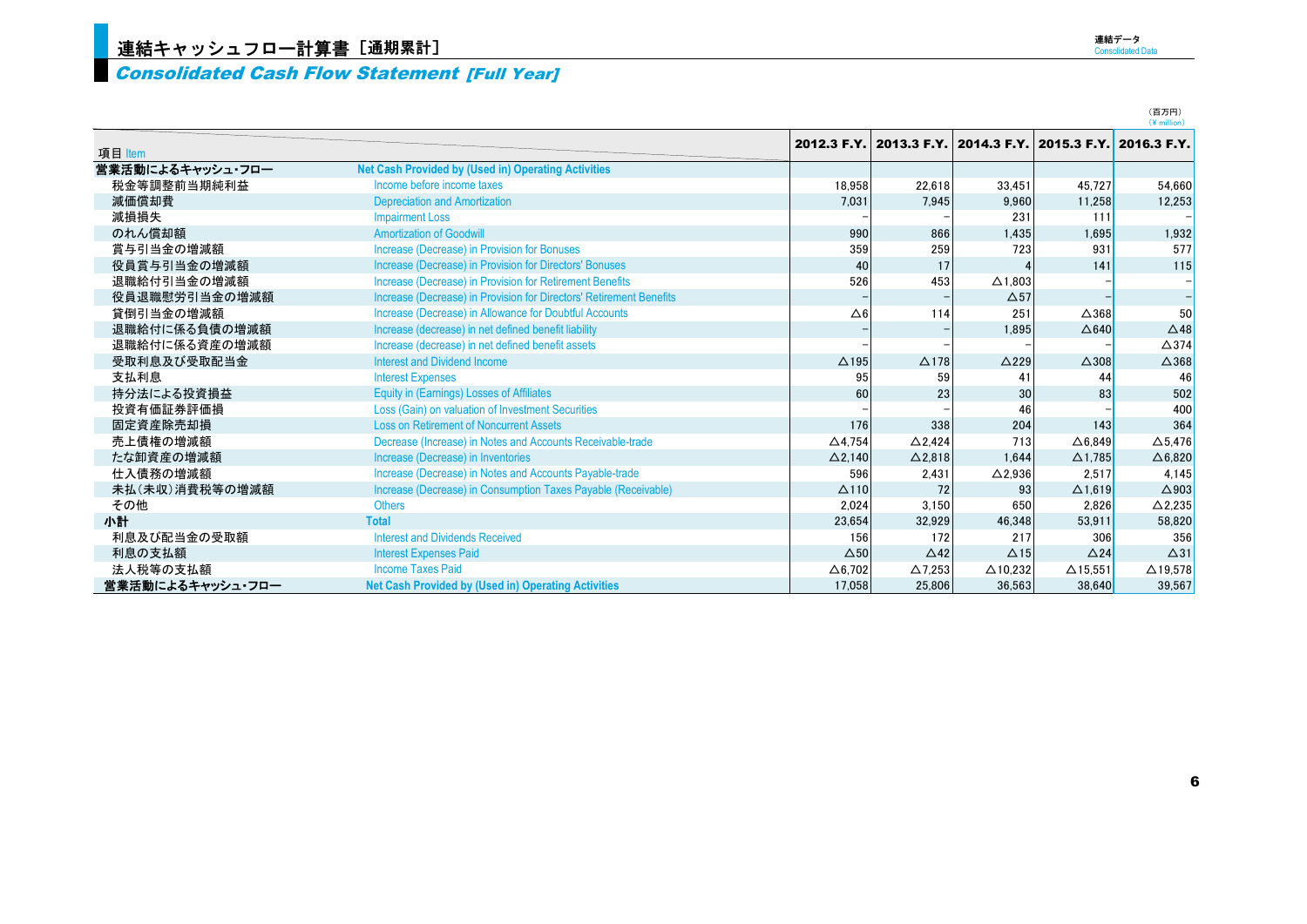#### Consolidated Cash Flow Statement [Full Year]

|                  |                                                                     |                   |                   |                                                 |                   | (百万円)<br>$(4$ million) |
|------------------|---------------------------------------------------------------------|-------------------|-------------------|-------------------------------------------------|-------------------|------------------------|
|                  |                                                                     | 2012.3 F.Y.       |                   | 2013.3 F.Y. 2014.3 F.Y. 2015.3 F.Y. 2016.3 F.Y. |                   |                        |
| 項目 Item          |                                                                     |                   |                   |                                                 |                   |                        |
| 営業活動によるキャッシュ・フロー | <b>Net Cash Provided by (Used in) Operating Activities</b>          |                   |                   |                                                 |                   |                        |
| 税金等調整前当期純利益      | Income before income taxes                                          | 18.958            | 22.618            | 33.451                                          | 45.727            | 54,660                 |
| 減価償却費            | <b>Depreciation and Amortization</b>                                | 7.031             | 7.945             | 9.960                                           | 11.258            | 12,253                 |
| 減損損失             | <b>Impairment Loss</b>                                              |                   |                   | 231                                             | 111               |                        |
| のれん償却額           | <b>Amortization of Goodwill</b>                                     | 990               | 866               | 1,435                                           | 1.695             | 1,932                  |
| 賞与引当金の増減額        | Increase (Decrease) in Provision for Bonuses                        | 359               | 259               | 723                                             | 931               | 577                    |
| 役員賞与引当金の増減額      | Increase (Decrease) in Provision for Directors' Bonuses             | 40                | 17                |                                                 | 141               | 115                    |
| 退職給付引当金の増減額      | Increase (Decrease) in Provision for Retirement Benefits            | 526               | 453               | $\Delta$ 1.803                                  |                   |                        |
| 役員退職慰労引当金の増減額    | Increase (Decrease) in Provision for Directors' Retirement Benefits |                   |                   | $\Delta$ 57                                     |                   |                        |
| 貸倒引当金の増減額        | Increase (Decrease) in Allowance for Doubtful Accounts              | $\Delta 6$        | 114               | 251                                             | $\triangle$ 368   | 50                     |
| 退職給付に係る負債の増減額    | Increase (decrease) in net defined benefit liability                |                   |                   | 1,895                                           | $\triangle$ 640   | $\triangle$ 48         |
| 退職給付に係る資産の増減額    | Increase (decrease) in net defined benefit assets                   |                   |                   |                                                 |                   | $\triangle$ 374        |
| 受取利息及び受取配当金      | <b>Interest and Dividend Income</b>                                 | $\triangle$ 195   | $\Delta$ 178      | $\triangle$ 229                                 | $\triangle$ 308   | $\Delta$ 368           |
| 支払利息             | <b>Interest Expenses</b>                                            | 95                | 59                | 41                                              | 44                | 46                     |
| 持分法による投資損益       | <b>Equity in (Earnings) Losses of Affiliates</b>                    | 60                | 23                | 30                                              | 83                | 502                    |
| 投資有価証券評価損        | Loss (Gain) on valuation of Investment Securities                   |                   |                   | 46                                              |                   | 400                    |
| 固定資産除売却損         | <b>Loss on Retirement of Noncurrent Assets</b>                      | 176               | 338               | 204                                             | 143               | 364                    |
| 売上債権の増減額         | Decrease (Increase) in Notes and Accounts Receivable-trade          | $\triangle$ 4.754 | $\triangle$ 2.424 | 713                                             | $\triangle$ 6.849 | $\Delta$ 5.476         |
| たな卸資産の増減額        | Increase (Decrease) in Inventories                                  | $\Delta$ 2,140    | $\Delta$ 2,818    | 1.644                                           | $\Delta$ 1,785    | $\Delta 6,820$         |
| 仕入債務の増減額         | Increase (Decrease) in Notes and Accounts Payable-trade             | 596               | 2,431             | $\Delta$ 2,936                                  | 2.517             | 4,145                  |
| 未払(未収)消費税等の増減額   | Increase (Decrease) in Consumption Taxes Payable (Receivable)       | $\Delta$ 110      | 72                | 93                                              | $\Delta$ 1.619    | $\triangle$ 903        |
| その他              | <b>Others</b>                                                       | 2,024             | 3.150             | 650                                             | 2.826             | $\Delta$ 2,235         |
| 小計               | <b>Total</b>                                                        | 23,654            | 32,929            | 46.348                                          | 53.911            | 58,820                 |
| 利息及び配当金の受取額      | <b>Interest and Dividends Received</b>                              | 156               | 172               | 217                                             | 306               | 356                    |
| 利息の支払額           | <b>Interest Expenses Paid</b>                                       | $\Delta$ 50       | $\triangle$ 42    | $\Delta$ 15                                     | $\triangle$ 24    | $\Delta$ 31            |
| 法人税等の支払額         | <b>Income Taxes Paid</b>                                            | $\Delta$ 6,702    | $\Delta$ 7.253    | $\Delta$ 10.232                                 | $\Delta$ 15.551   | $\triangle$ 19,578     |
| 営業活動によるキャッシュ・フロー | Net Cash Provided by (Used in) Operating Activities                 | 17.058            | 25.806            | 36.563                                          | 38.640            | 39,567                 |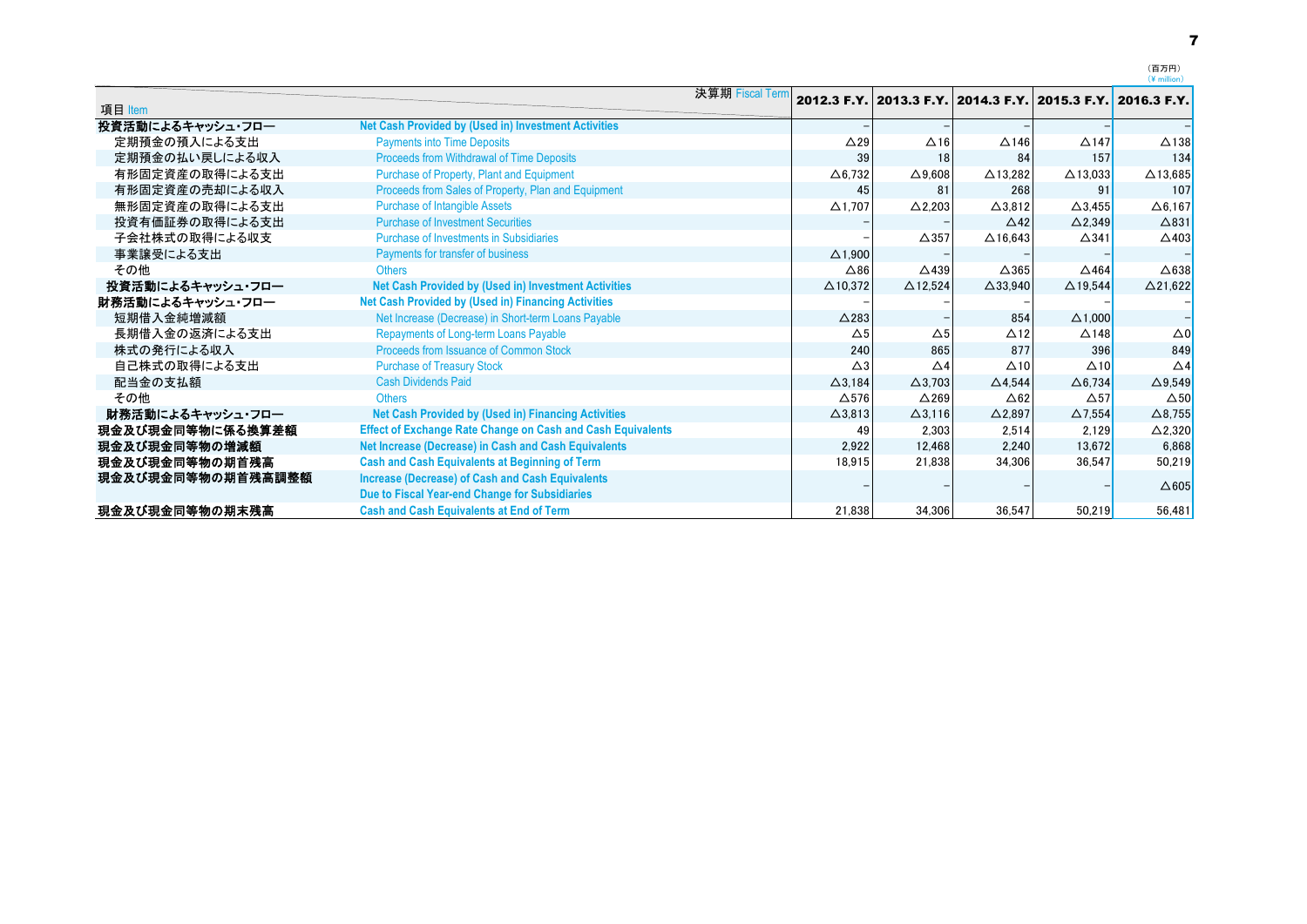|                   |                                                                                                           | 決算期 Fiscal Term |                   |                          |                    | 2012.3 F.Y. 2013.3 F.Y. 2014.3 F.Y. 2015.3 F.Y. 2016.3 F.Y. |                 |
|-------------------|-----------------------------------------------------------------------------------------------------------|-----------------|-------------------|--------------------------|--------------------|-------------------------------------------------------------|-----------------|
| 項目 Item           |                                                                                                           |                 |                   |                          |                    |                                                             |                 |
| 投資活動によるキャッシュ・フロー  | <b>Net Cash Provided by (Used in) Investment Activities</b>                                               |                 |                   |                          |                    |                                                             |                 |
| 定期預金の預入による支出      | <b>Payments into Time Deposits</b>                                                                        |                 | $\triangle$ 29    | $\Delta$ 16              | $\Delta$ 146       | $\triangle$ 147                                             | $\triangle$ 138 |
| 定期預金の払い戻しによる収入    | Proceeds from Withdrawal of Time Deposits                                                                 |                 | 39                | 18                       | 84                 | 157                                                         | 134             |
| 有形固定資産の取得による支出    | Purchase of Property, Plant and Equipment                                                                 |                 | $\Delta$ 6,732    | $\Delta$ 9,608           | $\triangle$ 13,282 | $\triangle$ 13,033                                          | $\Delta$ 13,685 |
| 有形固定資産の売却による収入    | Proceeds from Sales of Property, Plan and Equipment                                                       |                 | 45                | 81                       | 268                | 91                                                          | 107             |
| 無形固定資産の取得による支出    | <b>Purchase of Intangible Assets</b>                                                                      |                 | $\Delta$ 1,707    | $\Delta$ 2,203           | $\Delta$ 3.812     | $\Delta$ 3.455                                              | $\Delta$ 6,167  |
| 投資有価証券の取得による支出    | <b>Purchase of Investment Securities</b>                                                                  |                 |                   |                          | $\triangle$ 42     | $\Delta$ 2,349                                              | $\Delta$ 831    |
| 子会社株式の取得による収支     | Purchase of Investments in Subsidiaries                                                                   |                 |                   | $\Delta$ 357             | $\Delta$ 16,643    | $\Delta$ 341                                                | $\triangle$ 403 |
| 事業譲受による支出         | Payments for transfer of business                                                                         |                 | $\triangle$ 1,900 |                          |                    |                                                             |                 |
| その他               | <b>Others</b>                                                                                             |                 | $\triangle$ 86    | $\triangle$ 439          | $\Delta$ 365       | $\triangle$ 464                                             | $\triangle$ 638 |
| 投資活動によるキャッシュ・フロー  | Net Cash Provided by (Used in) Investment Activities                                                      |                 | $\Delta$ 10,372   | $\triangle$ 12.524       | $\triangle$ 33,940 | $\Delta$ 19,544                                             | $\Delta$ 21,622 |
| 財務活動によるキャッシュ・フロー  | Net Cash Provided by (Used in) Financing Activities                                                       |                 |                   |                          |                    |                                                             |                 |
| 短期借入金純増減額         | Net Increase (Decrease) in Short-term Loans Payable                                                       |                 | $\triangle$ 283   |                          | 854                | $\triangle$ 1.000                                           |                 |
| 長期借入金の返済による支出     | <b>Repayments of Long-term Loans Payable</b>                                                              |                 | $\Delta$ 5        | $\triangle$ <sub>5</sub> | $\Delta$ 12        | $\Delta$ 148                                                | $\Delta 0$      |
| 株式の発行による収入        | Proceeds from Issuance of Common Stock                                                                    |                 | 240               | 865                      | 877                | 396                                                         | 849             |
| 自己株式の取得による支出      | <b>Purchase of Treasury Stock</b>                                                                         |                 | $\triangle 3$     | $\triangle$ 4            | $\Delta$ 10        | $\triangle$ 10                                              | $\triangle$ 4   |
| 配当金の支払額           | <b>Cash Dividends Paid</b>                                                                                |                 | $\Delta$ 3.184    | $\Delta$ 3,703           | $\triangle$ 4.544  | $\Delta$ 6,734                                              | $\Delta$ 9,549  |
| その他               | <b>Others</b>                                                                                             |                 | $\Delta$ 576      | $\triangle$ 269          | $\triangle 62$     | $\Delta$ 57                                                 | $\Delta$ 50     |
| 財務活動によるキャッシュ・フロー  | Net Cash Provided by (Used in) Financing Activities                                                       |                 | $\Delta$ 3,813    | $\Delta$ 3,116           | $\triangle$ 2,897  | $\Delta$ 7.554                                              | $\Delta$ 8,755  |
| 現金及び現金同等物に係る換算差額  | <b>Effect of Exchange Rate Change on Cash and Cash Equivalents</b>                                        |                 | 49                | 2,303                    | 2,514              | 2.129                                                       | $\Delta$ 2,320  |
| 現金及び現金同等物の増減額     | Net Increase (Decrease) in Cash and Cash Equivalents                                                      |                 | 2.922             | 12.468                   | 2.240              | 13.672                                                      | 6,868           |
| 現金及び現金同等物の期首残高    | <b>Cash and Cash Equivalents at Beginning of Term</b>                                                     |                 | 18,915            | 21,838                   | 34,306             | 36.547                                                      | 50,219          |
| 現金及び現金同等物の期首残高調整額 | <b>Increase (Decrease) of Cash and Cash Equivalents</b><br>Due to Fiscal Year-end Change for Subsidiaries |                 |                   |                          |                    |                                                             | $\triangle 605$ |
| 現金及び現金同等物の期末残高    | <b>Cash and Cash Equivalents at End of Term</b>                                                           |                 | 21.838            | 34.306                   | 36.547             | 50.219                                                      | 56.481          |

(百万円)<br>(¥ million)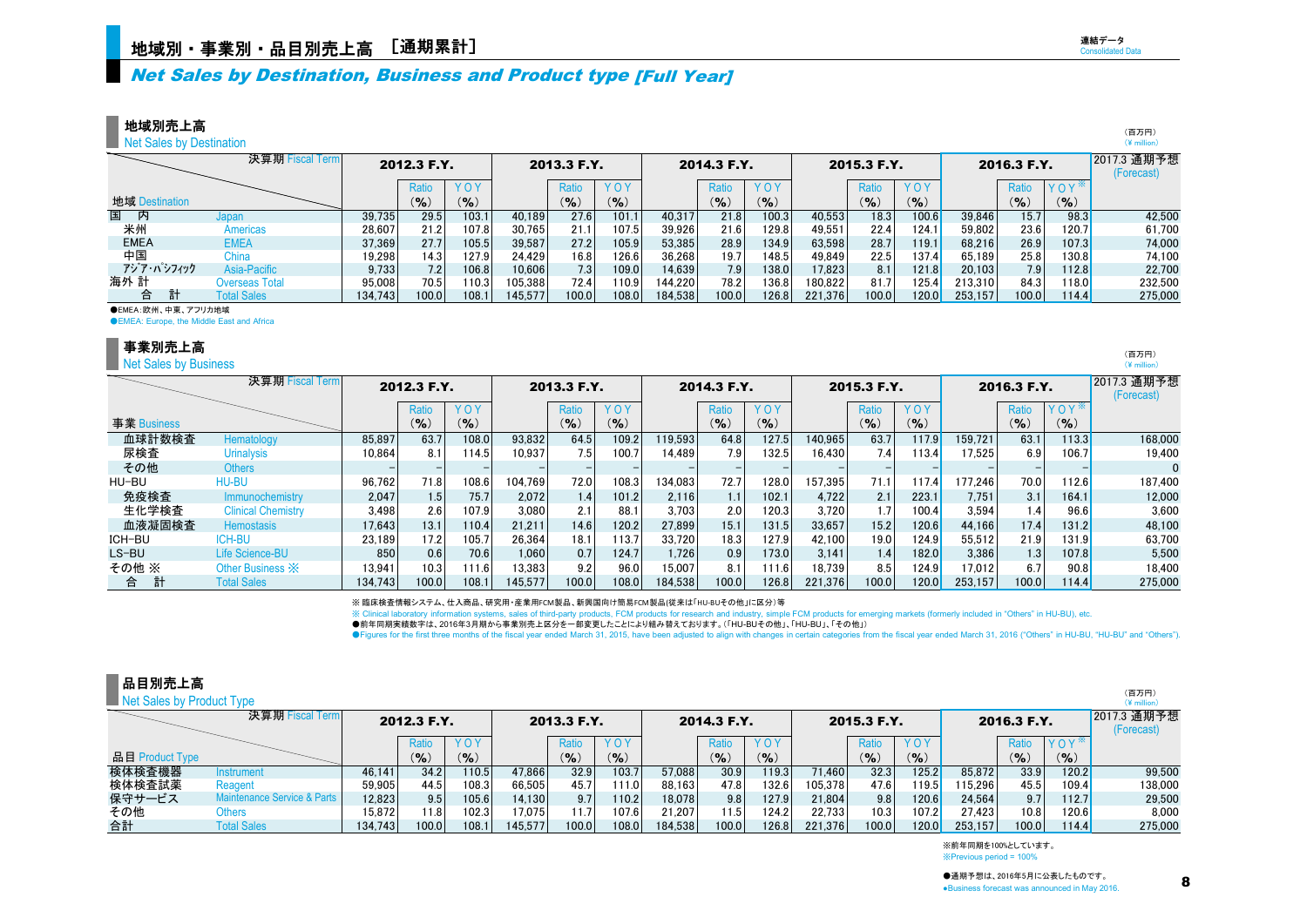## Net Sales by Destination, Business and Product type [Full Year]

地域別売上高

Net Sales by Destination

|                    | 決算期 Fiscal Term       |         | 2012.3 F.Y. |               |         | 2013.3 F.Y. |            |         | 2014.3 F.Y. |           |          | 2015.3 F.Y. |              |         | 2016.3 F.Y.      |                      | 2017.3 通期予想<br>(Forecast) |
|--------------------|-----------------------|---------|-------------|---------------|---------|-------------|------------|---------|-------------|-----------|----------|-------------|--------------|---------|------------------|----------------------|---------------------------|
|                    |                       |         | Ratio       | <b>YOY</b>    |         | Ratio       | <b>YOY</b> |         | Ratio       | YOY       |          | Ratio       | YOY          |         | Ratic            | $YOY^*$              |                           |
| 地域 Destination     |                       |         | (9)         | $\frac{9}{6}$ |         | $($ % $)$   | $($ %)     |         | (%          | $(9)_{0}$ |          | (%)         | $($ % $)$    |         | (9/6)            | (9)                  |                           |
| 国<br>内             | Japan                 | 39.735  | 29.5        | 103.1         | 40,189  | 27.6        | 101.1      | 40.317  | 21.8        | 100.3     | 40,553   | 18.3        | 100.6        | 39,846  | 15.7             | 98.3                 | 42,500                    |
| 米州                 | Americas              | 28,607  | 21.2        | 107.8         | 30,765  | 21.1        | 107.5      | 39,926  | 21.6        | 129.8     | 49,551   | 22.4        | 124.1        | 59,802  | 23.6             | 120.7                | 61,700                    |
| <b>EMEA</b>        | <b>EMEA</b>           | 37.369  | 27.7        | 105.5         | 39,587  | 27.2        | 105.9      | 53,385  | 28.9        | 134.9     | 63,598   | 28.7        | 119.1        | 68,216  | 26.9             | 107.3                | 74,000                    |
| 中国                 | China                 | 19,298  | 14.3        | 127.9         | 24,429  | 16.81       | 126.6      | 36,268  | 19.7        | 148.5     | 49,849   | 22.5        | 137.4        | 65,189  | 25.8             | 130.8 <mark> </mark> | 74,100                    |
| アジア・パシフィック         | Asia-Pacific          | 9.733   | 7.2         | 106.8         | 10.606  | 7.3         | 109.0      | 14.639  | 7.9         | 138.0     | 17.823   | 8.1         | 121.8        | 20.103  | 7.9 <sub>1</sub> | 112.8                | 22,700                    |
| 海外 計               | <b>Overseas Total</b> | 95.008  | 70.5        | 110.3         | 105.388 | 72.4        | 110.9      | 144.220 | 78.2        | 136.8     | 180.8221 | 81.7        | 125.4        | 213.310 | 84.3             | 118.0 <mark>1</mark> | 232,500                   |
| 合                  | <b>Total Sales</b>    | 134.743 | 100.0       | 108.1         | 145.577 | 100.0       | 108.0      | 184.538 | 100.0       | 126.8     | 221.376  | 100.0       | <b>120.0</b> | 253.157 | 100.0            | 114.4                | 275,000                   |
| ●EMEA:欧州、中東、アフリカ地域 |                       |         |             |               |         |             |            |         |             |           |          |             |              |         |                  |                      |                           |

**OEMEA:** Europe, the Middle East and Africa

#### 事業別売上高

**Net Sales by Business** 

|             | 決算期 Fiscal Term             |         | 2012.3 F.Y. |            |         | 2013.3 F.Y.      |       |         | 2014.3 F.Y.      |       |         | 2015.3 F.Y. |           |         | 2016.3 F.Y.     |           | 2017.3 通期予想<br>(Forecast) |
|-------------|-----------------------------|---------|-------------|------------|---------|------------------|-------|---------|------------------|-------|---------|-------------|-----------|---------|-----------------|-----------|---------------------------|
|             |                             |         | Ratio       | <b>YOY</b> |         | Ratic            | YOY   |         | Ratio            | YOY   |         | Ratio       | YOY       |         | Ratio           | $YOY^*$   |                           |
| 事業 Business |                             |         | $(9)_{0}$   | (9)        |         | $\mathcal{O}_6$  | (9)   |         | $(9)_{0}$        | (9)   |         | (9)         | $($ % $)$ |         | $\mathcal{O}_6$ | $($ % $)$ |                           |
| 血球計数検査      | Hematology                  | 85.897  | 63.7        | 108.0      | 93.832  | 64.5             | 109.2 | 119.593 | 64.8             | 127.5 | 140.965 | 63.7        | 117.9     | 159.721 | 63.1            | 113.3     | 168,000                   |
| 尿検査         | <b>Urinalysis</b>           | 10.864  | 8.1         | 114.5      | 10.937  | 7.5              | 100.7 | 14.489  | 7.9 <sub>1</sub> | 132.5 | 16,430  | 7.41        | 113.4     | 7.525   | 6.9             | 106.7     | 19.400                    |
| その他         | <b>Others</b>               |         |             |            |         |                  |       |         |                  |       |         |             |           |         |                 |           |                           |
| HU-BU       | HU-BU                       | 96.762  | 71.8        | 108.6      | 104.769 | 72.0             | 108.3 | 134.083 | 72.7             | 128.0 | 157.395 | 71.1        | 117.4     | 177.246 | 70.0            | 112.6     | 187.400                   |
| 免疫検査        | <b>Immunochemistry</b>      | 2.047   | 1.5         | 75.7       | 2.072   | 1.4 <sub>1</sub> | 101.2 | 2.116   | 1.1 <sub>1</sub> | 102.1 | 4.722   | 2.1         | 223.1     | 7,751   | 3.1             | 164.1     | 12.000                    |
| 生化学検査       | <b>Clinical Chemistry</b>   | 3.498   | 2.6         | 107.9      | 3.080   | 2.1              | 88.1  | 3.703   | 2.0              | 120.3 | 3.720   | 1.7         | 100.4     | 3,594   | 1.4             | 96.6      | 3.600                     |
| 血液凝固検査      | <b>Hemostasis</b>           | 17.643  | 13.1        | 110.4      | 21.211  | 14.6             | 120.2 | 27.899  | 15.1             | 131.5 | 33.657  | 15.2        | 120.6     | 44.166  | 17.4            | 131.2     | 48.100                    |
| ICH-BU      | ICH-BU                      | 23.189  | 17.21       | 105.7      | 26.364  | 18.1             | 113.7 | 33.720  | 18.3             | 127.9 | 42.100  | 19.0        | 124.9     | 55.512  | 21.9            | 131.9     | 63.700                    |
| LS-BU       | <b>Life Science-BU</b>      | 850     | 0.6         | 70.6       | 1.060   | 0.7              | 124.7 | 1.726   | 0.9              | 173.0 | 3.141   | 1.4         | 182.0     | 3.386   | 1.3             | 107.8     | 5.500                     |
| その他 ※       | Other Business $\mathbb{X}$ | 13.941  | 10.3        | 111.6      | 13,383  | 9.2              | 96.0  | 15,007  | 8.1              | 111.6 | 18.739  | 8.5         | 124.9     | 17,012  | 6.7             | 90.8      | 18.400                    |
| 合           | <b>Total Sales</b>          | 134.743 | 100.0       | 108.1      | 145.577 | 100.0            | 108.0 | 184.538 | 100.0            | 126.8 | 221.376 | 100.0       | 120.0     | 253.157 | 100.0           | 114.4     | 275,000                   |

※ 臨床検査情報システム、仕入商品、研究用・産業用FCM製品、新興国向け簡易FCM製品(従来は「HU-BUその他」に区分)等

※ Clinical laboratory information systems, sales of third-party products, FCM products for research and industry, simple FCM products for emerging markets (formerly included in "Others" in HU-BU), etc.

●前年同期実績数字は、2016年3月期から事業別売上区分を一部変更したことにより組み替えております。(「HU-BUその他」、「HU-BU」、「その他」)

●Figures for the first three months of the fiscal year ended March 31, 2015, have been adjusted to align with changes in certain categories from the fiscal year ended March 31, 2016 ("Others" in HU-BU, "HU-BU" and "Others

| 品目別売上高                    |                             |         |             |                 |         |                            |           |         |             |            |         |             |       |         |             |                  | (百万円)                     |
|---------------------------|-----------------------------|---------|-------------|-----------------|---------|----------------------------|-----------|---------|-------------|------------|---------|-------------|-------|---------|-------------|------------------|---------------------------|
| Net Sales by Product Type |                             |         |             |                 |         |                            |           |         |             |            |         |             |       |         |             |                  | $(*)$ million)            |
|                           | 決算期 Fiscal Term             |         | 2012.3 F.Y. |                 |         | 2013.3 F.Y.                |           |         | 2014.3 F.Y. |            |         | 2015.3 F.Y. |       |         | 2016.3 F.Y. |                  | 2017.3 通期予想<br>(Forecast) |
|                           |                             |         | Ratio       | YOY             |         | Ratio                      | YOY       |         | Ratio       | <b>YOY</b> |         | Ratio       | YOY   |         | Ratio       | YOY <sup>*</sup> |                           |
| 品目 Product Type           |                             |         | $(9)_{0}$   | $\mathcal{O}_0$ |         | $\mathcal{O}_{\mathbf{0}}$ | $(9)_{0}$ |         | $($ %)      | $($ %)     |         | (9/6)       | (%)   |         | $($ %)      | (9/6)            |                           |
| 検体検査機器                    | Instrument                  | 46.141  | 34.2        | 110.5           | 47.866  | 32.9                       | 103.7     | 57.088  | 30.9        | 119.3      | 71.460  | 32.3        | 125.2 | 85.872  | 33.9        | 120.2            | 99.500                    |
| 検体検査試薬                    | Reagent                     | 59.905  | 44.5        | 108.3           | 66.505  | 45.7                       | 111.0     | 88.163  | 47.8        | 132.6      | 105.378 | 47.6        | 119.5 | 15.296  | 45.5        | 109.4            | 138,000                   |
| 保守サービス                    | Maintenance Service & Parts | 12,823  | 9.5         | 105.6           | 14.130  | 9.7                        | 110.2     | 18.078  | 9.8         | 127.9      | 21.804  | 9.8         | 120.6 | 24.564  | 9.7         | 112.7            | 29.500                    |
| その他                       | Others                      | 15.872  | 11.8        | 102.3           | 17.075  |                            | 107.6     | 21.207  | 11.5        | 124.2      | 22.7331 | 10.3        | 107.2 | 27.423  | 10.8        | 120.6l           | 8.000                     |
| 合計                        | <b>Total Sales</b>          | 134.743 | 100.0       | 108.1           | 145.577 | 100.0                      | 108.0     | 184.538 | 100.0       | 126.8      | 221.376 | 100.0       | 120.0 | 253.157 | 100.0       | 114.4            | 275,000                   |

※前年同期を100%としています。 ※Previous period = 100%

連結データ Consolidated Data

> (百万円)  $(\frac{1}{2}$  million)

> > (百万円)  $(\frac{1}{2})$  million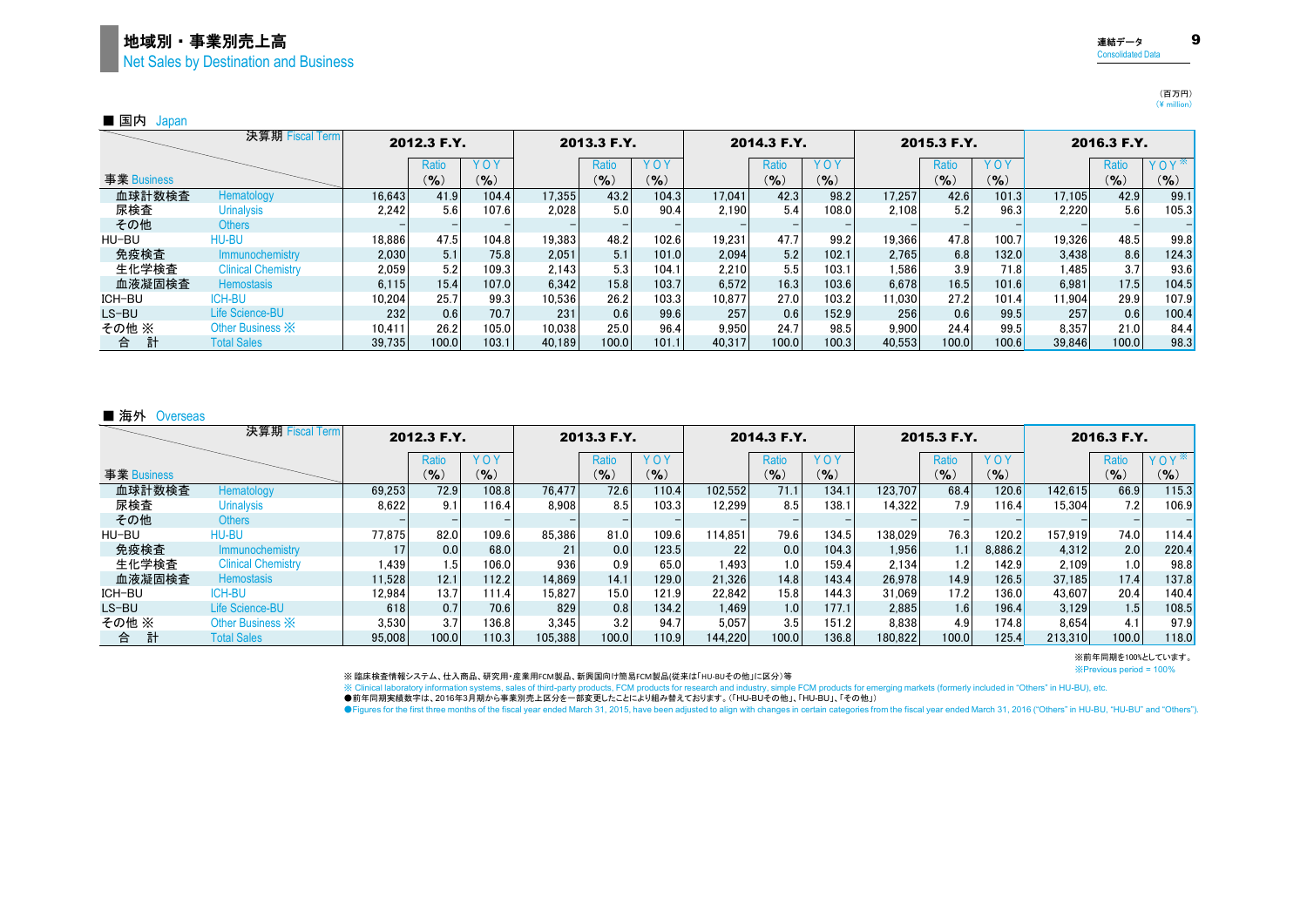## 地域別・事業別売上高 9 Net Sales by Destination and Business

■ 国内 Japan

|             | 決算期 Fiscal Term             |        | 2012.3 F.Y. |           |        | 2013.3 F.Y. |       |        | 2014.3 F.Y. |            |        | 2015.3 F.Y. |            |        | 2016.3 F.Y. |           |
|-------------|-----------------------------|--------|-------------|-----------|--------|-------------|-------|--------|-------------|------------|--------|-------------|------------|--------|-------------|-----------|
|             |                             |        | Ratio       | YOY       |        | Ratio       | YOY   |        | Ratio       | <b>YOY</b> |        | Ratio       | <b>YOY</b> |        | Ratio       | $YOY^*$   |
| 事業 Business |                             |        | $($ % $)$   | $($ % $)$ |        | (9/6)       | (9/6) |        | (9/6)       | $($ % $)$  |        | $(9)_{0}$   | (9/6)      |        | $($ % $)$   | $(9)_{0}$ |
| 血球計数検査      | Hematology                  | 16,643 | 41.9        | 104.4     | 17,355 | 43.2        | 104.3 | 17.041 | 42.3        | 98.2       | 17,257 | 42.6        | 101.3      | 17.105 | 42.9        | 99.1      |
| 尿検査         | <b>Urinalysis</b>           | 2.242  | 5.6         | 107.6     | 2.028  | 5.0         | 90.4  | 2.190  | 5.4         | 108.0      | 2.108  | 5.2         | 96.3       | 2.220  | 5.6         | 105.3     |
| その他         | <b>Others</b>               |        |             |           |        |             |       |        |             |            |        |             |            |        |             |           |
| HU-BU       | <b>HU-BU</b>                | 18.886 | 47.5        | 104.8     | 19.383 | 48.2        | 102.6 | 19.231 | 47.7        | 99.2       | 19.366 | 47.8        | 100.7      | 19.326 | 48.5        | 99.8      |
| 免疫検査        | Immunochemistry             | 2.030  | 5.1         | 75.8      | 2.051  | 5.1         | 101.0 | 2.094  | 5.2         | 102.1      | 2.765  | 6.8         | 132.0      | 3.438  | 8.6         | 124.3     |
| 生化学検査       | <b>Clinical Chemistry</b>   | 2,059  | 5.2         | 109.3     | 2,143  | 5.3         | 104.1 | 2.210  | 5.5         | 103.1      | 1,586  | 3.9         | 71.8       | ا485 ا | 3.7         | 93.6      |
| 血液凝固検査      | <b>Hemostasis</b>           | 6.115  | 15.4        | 107.0     | 6.342  | 15.8        | 103.7 | 6.572  | 16.3        | 103.6      | 6.678  | 16.5        | 101.6      | 6.981  | 17.5        | 104.5     |
| ICH-BU      | <b>ICH-BU</b>               | 10.204 | 25.7        | 99.3      | 10.536 | 26.2        | 103.3 | 10.877 | 27.0        | 103.2      | 1.030  | 27.2        | 101.4      | 11.904 | 29.9        | 107.9     |
| LS-BU       | Life Science-BU             | 232    | 0.6         | 70.7      | 231    | 0.6         | 99.6  | 257    | 0.6         | 152.9      | 256    | 0.6         | 99.5       | 257    | 0.6         | 100.4     |
| その他 ※       | Other Business $\mathbb{X}$ | 10,411 | 26.2        | 105.0     | 10.038 | 25.0        | 96.4  | 9.950  | 24.7        | 98.5       | 9.900  | 24.4        | 99.5       | 8.357  | 21.0        | 84.4      |
| 計<br>合      | <b>Total Sales</b>          | 39.735 | 100.0       | 103.1     | 40.189 | 100.0       | 101.1 | 40.317 | 100.0       | 100.3      | 40.553 | 100.0       | 100.6      | 39.846 | 100.0       | 98.3      |

#### ■ 海外 Overseas

|             | 決算期 Fiscal Term           |        | 2012.3 F.Y. |           |         | 2013.3 F.Y.      |            |         | 2014.3 F.Y.      |            |         | 2015.3 F.Y. |            |         | 2016.3 F.Y.                |                  |
|-------------|---------------------------|--------|-------------|-----------|---------|------------------|------------|---------|------------------|------------|---------|-------------|------------|---------|----------------------------|------------------|
|             |                           |        | Ratio       | YOY       |         | Ratio            | <b>YOY</b> |         | Ratio            | <b>YOY</b> |         | Ratio       | <b>YOY</b> |         | Ratio                      | YOY <sup>*</sup> |
| 事業 Business |                           |        | $(9)_{0}$   | $($ % $)$ |         | (%)              | (9)        |         | (9/6)            | (9/6)      |         | $(9)_{0}$   | (9/6)      |         | $\mathcal{O}_{\mathbf{0}}$ | $(9)_{0}$        |
| 血球計数検査      | Hematology                | 69.253 | 72.9        | 108.8     | 76.477  | 72.6             | 110.4      | 102.552 | 71.1             | 134.1      | 123,707 | 68.4        | 120.6      | 142.615 | 66.9                       | 115.3            |
| 尿検査         | <b>Urinalysis</b>         | 8.622  | 9.1         | 116.4     | 8.908   | 8.5              | 103.3      | 12.299  | 8.5              | 138.1      | 14.322  | 7.9         | 116.4      | 15.304  | 7.2 <sub>1</sub>           | 106.9            |
| その他         | <b>Others</b>             |        |             |           |         |                  |            |         |                  |            |         |             |            |         |                            |                  |
| HU-BU       | hu-bu                     | 77.875 | 82.0        | 109.6     | 85.386  | 81.0             | 109.6      | 114.851 | 79.6             | 134.5      | 138,029 | 76.3        | 120.2      | 157.919 | 74.0                       | 114.4            |
| 免疫検査        | <b>Immunochemistry</b>    | 17     | 0.0         | 68.0      | 21      | 0.0              | 123.5      | 22      | 0.0              | 104.3      | 1,956   | 1.1         | 8.886.2    | 4,312   | 2.0                        | 220.4            |
| 生化学検査       | <b>Clinical Chemistry</b> | 1.439  | 1.51        | 106.0     | 936     | 0.9              | 65.0       | 1.493   | 1.0 <sub>l</sub> | 159.4      | 2.134   | 1.2         | 142.9      | 2.109   | 1.0                        | 98.8             |
| 血液凝固検査      | <b>Hemostasis</b>         | 11.528 | 12.1        | 112.2     | 14.869  | 14.1             | 129.0      | 21.326  | 14.8             | 143.4      | 26.978  | 14.9        | 126.5      | 37.185  | 17.4                       | 137.8            |
| ICH-BU      | ICH-BU                    | 12.984 | 13.7        | 111.4     | 15.827  | 15.0             | 121.9      | 22.842  | 15.8             | 144.3      | 31.069  | 17.2        | 136.0      | 43.607  | 20.4                       | 140.4            |
| LS-BU       | Life Science-BU           | 618    | 0.7         | 70.6      | 829     | 0.8              | 134.2      | 1.469   | 1.0              | 177.1      | 2.885   | 1.6         | 196.4      | 3,129   | 1.5                        | 108.5            |
| その他 ※       | Other Business X          | 3.530  | 3.7         | 136.8     | 3.345   | 3.2 <sub>1</sub> | 94.7       | 5.057   | 3.5              | 151.2      | 8.838   | 4.9         | 174.8      | 8.654   | 4.1                        | 97.9             |
| 計<br>合      | <b>Total Sales</b>        | 95,008 | 100.0       | 110.3     | 105.388 | 100.0            | 110.9      | 144.220 | 100.0            | 136.8      | 180.822 | 100.0       | 125.4      | 213.310 | 100.0                      | 118.0            |

※Previous period = 100% ※前年同期を100%としています。

※ 臨床検査情報システム、仕入商品、研究用・産業用FCM製品、新興国向け簡易FCM製品(従来は「HU-BUその他」に区分)等

※ Clinical laboratory information systems, sales of third-party products, FCM products for research and industry, simple FCM products for emerging markets (formerly included in "Others" in HU-BU), etc. ●前年同期実績数字は、2016年3月期から事業別売上区分を一部変更したことにより組み替えております。(「HU-BUその他」、「HU-BU」、「その他」)

●Figures for the first three months of the fiscal year ended March 31, 2015, have been adjusted to align with changes in certain categories from the fiscal year ended March 31, 2016 ("Others" in HU-BU, "HU-BU" and "Others

連結データ Consolidated Data

> (百万円)  $(\frac{4}{3})$  million)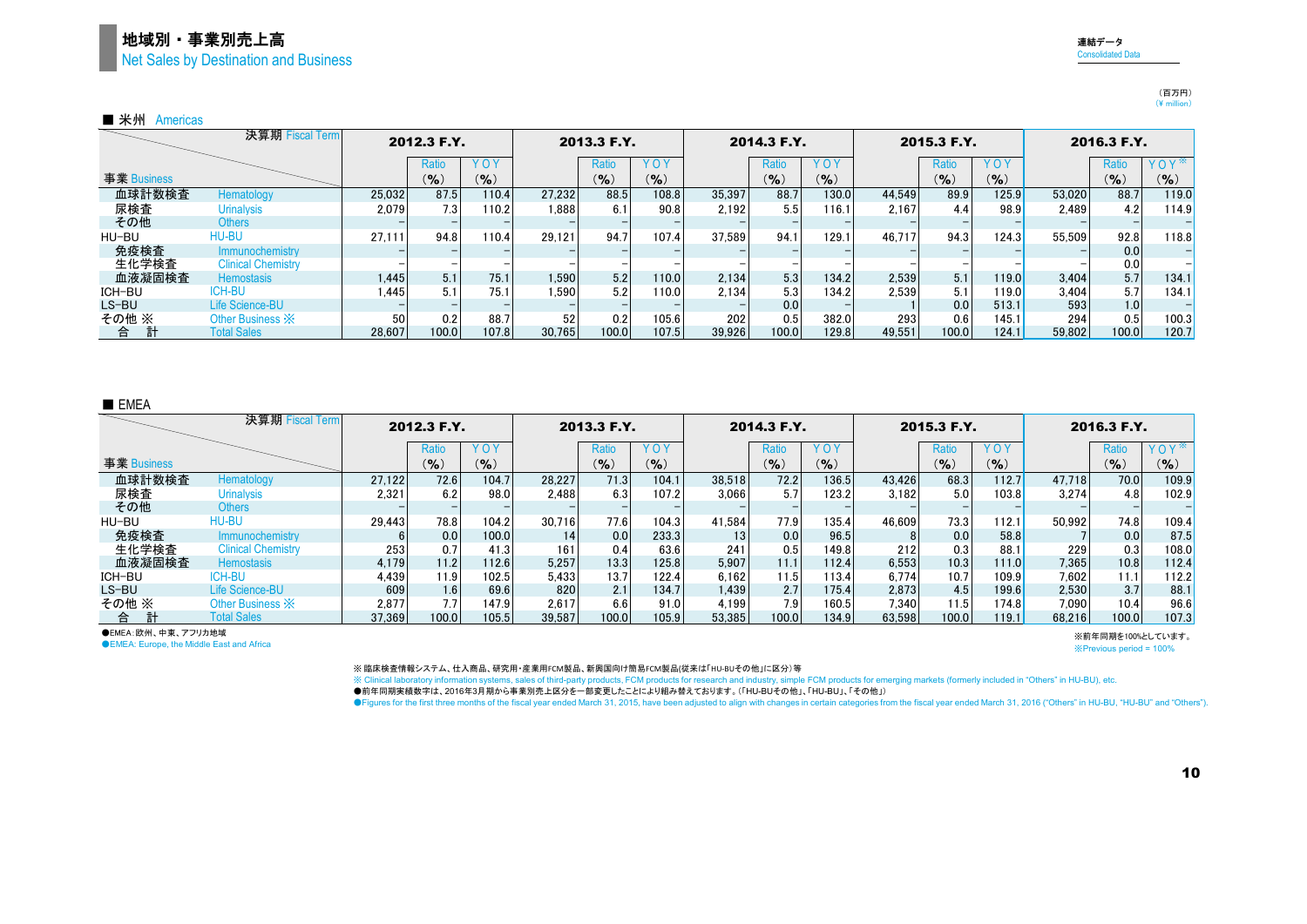## 地域別・事業別売上高 Net Sales by Destination and Business

|             | 決算期 Fiscal Term           |        | 2012.3 F.Y.      |           |        | 2013.3 F.Y. |       |        | 2014.3 F.Y. |            |        | 2015.3 F.Y. |           |        | 2016.3 F.Y. |            |
|-------------|---------------------------|--------|------------------|-----------|--------|-------------|-------|--------|-------------|------------|--------|-------------|-----------|--------|-------------|------------|
|             |                           |        | Ratio            | YOY       |        | Ratio       | YOY   |        | Ratio       | <b>YOY</b> |        | Ratio       | YOY       |        | Ratio       | <b>YOY</b> |
| 事業 Business |                           |        | $(9)_{0}$        | $(9)_{0}$ |        | (9/6)       | (9/6) |        | (9)         | $(9)_{0}$  |        | $(9)_{0}$   | $($ % $)$ |        | (9)         | (9/6)      |
| 血球計数検査      | Hematology                | 25.032 | 87.5             | 110.4     | 27,232 | 88.5        | 108.8 | 35.397 | 88.7        | 130.0      | 44,549 | 89.9        | 125.9     | 53.020 | 88.7        | 119.0      |
| 尿検査         | <b>Urinalysis</b>         | 2.079  | 7.3 <sub>1</sub> | 110.2     | 1.888  | 6.1         | 90.8  | 2.192  | 5.5         | 116.1      | 2.167  | 4.4         | 98.9      | 2.489  | 4.2         | 114.9      |
| その他         | <b>Others</b>             |        |                  |           |        |             |       |        |             |            |        |             |           |        |             |            |
| HU-BU       | <b>HU-BU</b>              | 27.111 | 94.8             | 110.4     | 29.121 | 94.7        | 107.4 | 37.589 | 94.1        | 129.1      | 46.717 | 94.3        | 124.3     | 55,509 | 92.8        | 118.8      |
| 免疫検査        | Immunochemistry           |        |                  |           |        |             |       |        |             |            |        |             |           |        | 0.0         |            |
| 生化学検査       | <b>Clinical Chemistry</b> |        |                  |           |        |             |       |        |             |            |        |             |           |        | 0.0         |            |
| 血液凝固検査      | <b>Hemostasis</b>         | 1.445  | 5.1              | 75.1      | 1.590  | 5.2         | 110.0 | 2.134  | 5.3         | 134.2      | 2.539  | 5.1         | 119.0     | 3,404  | 5.7         | 134.1      |
| ICH-BU      | ICH-BU                    | 1.445  | 5.1              | 75.1      | 1.590  | 5.2         | 110.0 | 2.134  | 5.3         | 134.2      | 2.539  |             | 119.0     | 3.404  | 5.7         | 134.1      |
| LS-BU       | Life Science-BU           |        |                  |           |        |             |       |        | 0.0         |            |        | 0.0         | 513.1     | 593    | 1.0         |            |
| その他 ※       | Other Business X          | 50     | 0.2              | 88.7      | 52     | 0.2         | 105.6 | 202    | 0.5         | 382.0      | 293    | 0.6         | 145.1     | 294    | 0.5         | 100.3      |
| 計<br>台      | <b>Total Sales</b>        | 28.607 | 100.0            | 107.8     | 30.765 | 100.0       | 107.5 | 39.926 | 100.0       | 129.8      | 49.551 | 100.0       | 124.1     | 59.802 | 100.0       | 120.7      |

#### ■ EMEA

|             | 決算期 Fiscal Term           |        | 2012.3 F.Y. |           |        | 2013.3 F.Y.       |            |                 | 2014.3 F.Y.      |       |        | 2015.3 F.Y. |           |        | 2016.3 F.Y. |            |
|-------------|---------------------------|--------|-------------|-----------|--------|-------------------|------------|-----------------|------------------|-------|--------|-------------|-----------|--------|-------------|------------|
|             |                           |        | Ratio       | YOY       |        | Ratio             | <b>YOY</b> |                 | Ratio            | YOY   |        | Ratio       | YOY       |        | Ratio       | <b>YOY</b> |
| 事業 Business |                           |        | (9/6)       | $(9)_{0}$ |        | $($ %)            | $($ % $)$  |                 | $(9)_{0}$        | (9/6) |        | (9/6)       | $(9)_{0}$ |        | $(9)_{0}$   | (9/6)      |
| 血球計数検査      | Hematology                | 27.122 | 72.6        | 104.7     | 28.227 | 71.3              | 104.1      | 38.518          | 72.2             | 136.5 | 43.426 | 68.3        | 112.7     | 47.718 | 70.0        | 109.9      |
| 尿検査         | <b>Urinalysis</b>         | 2.321  | 6.2         | 98.0      | 2.488  | 6.3               | 107.2      | 3.066           | 5.7              | 123.2 | 3.182  | 5.0         | 103.8     | 3.274  | 4.8         | 102.9      |
| その他         | <b>Others</b>             |        |             |           |        |                   |            |                 |                  |       |        |             |           |        |             |            |
| HU-BU       | <b>HU-BU</b>              | 29.443 | 78.8        | 104.2     | 30.716 | 77.6              | 104.3      | 41.584          | 77.9             | 135.4 | 46.609 | 73.3        | 112.1     | 50.992 | 74.8        | 109.4      |
| 免疫検査        | Immunochemistry           |        | 0.0         | 100.0     | 14     | 0.0               | 233.3      | 13 <sub>1</sub> | 0.0              | 96.5  |        | 0.0         | 58.8      |        | 0.0         | 87.5       |
| 生化学検査       | <b>Clinical Chemistry</b> | 253    | 0.7         | 41.3      | 161    | 0.4               | 63.6       | 241             | 0.5              | 149.8 | 212    | 0.3         | 88.1      | 229    | 0.3         | 108.0      |
| 血液凝固検査      | <b>Hemostasis</b>         | 4.179  | 11.2        | 112.6     | 5.257  | 13.3 <sub>1</sub> | 125.8      | 5.907           | 11.1             | 112.4 | 6.553  | 10.3        | 111.0     | 7,365  | 10.8        | 112.4      |
| ICH-BU      | ICH-BU                    | 4,439  | 11.9        | 102.5     | 5.433  | 13.7              | 122.4      | 6.162           | 11.5             | 113.4 | 6.774  | 10.7        | 109.9     | 7.602  | 11.1        | 112.2      |
| LS-BU       | <b>Life Science-BU</b>    | 609    | 1.6         | 69.6      | 820    | 2.1               | 134.7      | 1,439           | 2.7              | 175.4 | 2,873  | 4.5         | 199.6     | 2,530  | 3.7         | 88.1       |
| その他 ※       | Other Business X          | 2.877  | 7.7         | 147.9     | 2.617  | 6.6               | 91.0       | 4.199           | 7.9 <sub>1</sub> | 160.5 | 7.340  | 11.5        | 174.8     | 7.090  | 10.4        | 96.6       |
| 計<br>合      | <b>Total Sales</b>        | 37.369 | 100.0       | 105.5     | 39.587 | 100.0             | 105.9      | 53.385          | 100.0            | 134.9 | 63.598 | 100.0       | 119.1     | 68.216 | 100.0       | 107.3      |

●EMEA:欧州、中東、アフリカ地域

**OEMEA: Europe, the Middle East and Africa** 

※前年同期を100%としています。

※Previous period = 100%

※ 臨床検査情報システム、仕入商品、研究用・産業用FCM製品、新興国向け簡易FCM製品(従来は「HU-BUその他」に区分)等

※ Clinical laboratory information systems, sales of third-party products, FCM products for research and industry, simple FCM products for emerging markets (formerly included in "Others" in HU-BU), etc.

●前年同期実績数字は、2016年3月期から事業別売上区分を一部変更したことにより組み替えております。(「HU-BUその他」、「HU-BU」、「その他」)

●Figures for the first three months of the fiscal year ended March 31, 2015, have been adjusted to align with changes in certain categories from the fiscal year ended March 31, 2016 ("Others" in HU-BU, "HU-BU" and "Others

連結データ Consolidated Data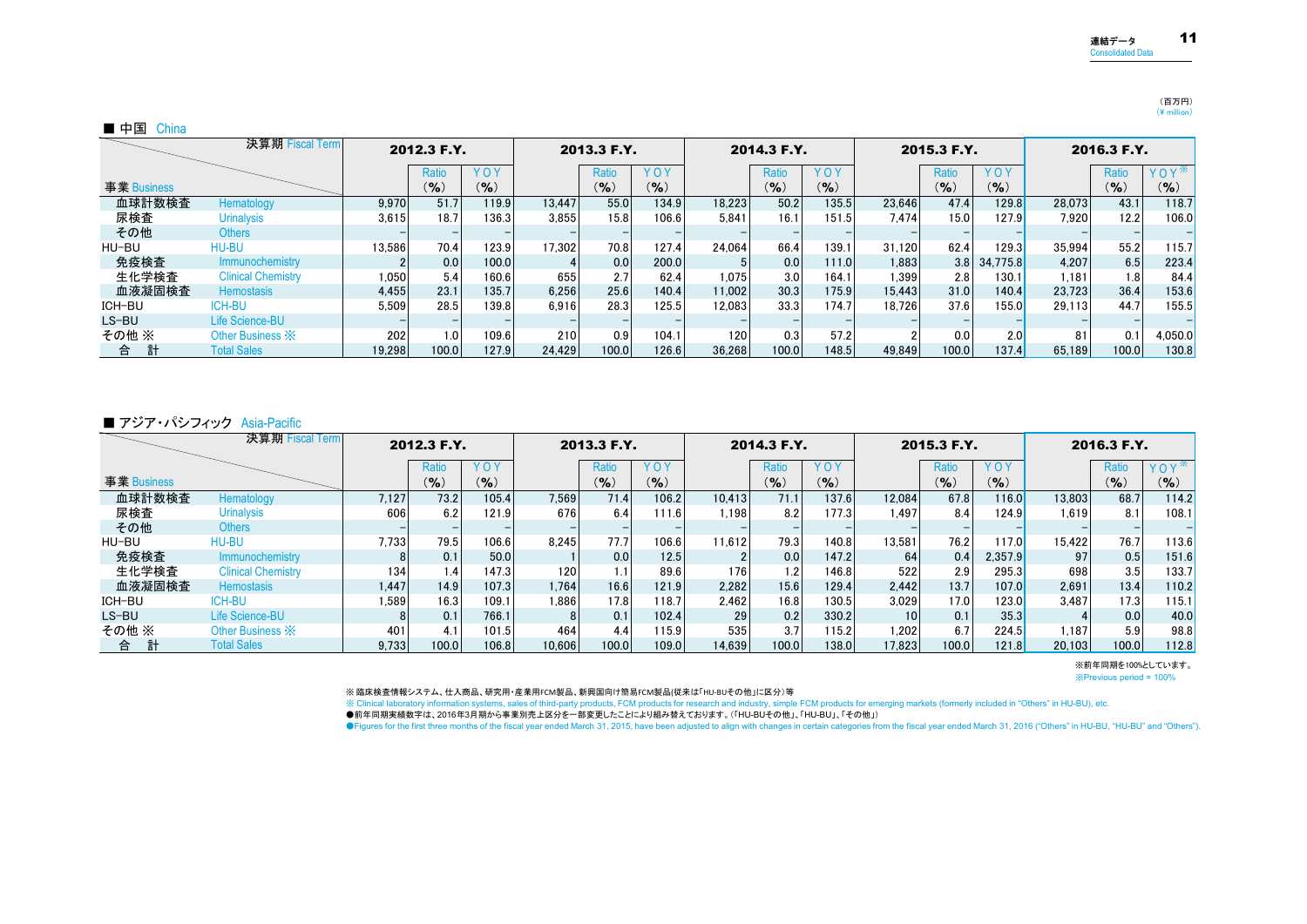#### (百万円)  $(\frac{4}{2}$  million)

#### ■ 中国 China

|             | 決算期 Fiscal Term           |        | 2012.3 F.Y. |       |        | 2013.3 F.Y. |            |        | 2014.3 F.Y. |            |        | 2015.3 F.Y. |            |        | 2016.3 F.Y. |         |
|-------------|---------------------------|--------|-------------|-------|--------|-------------|------------|--------|-------------|------------|--------|-------------|------------|--------|-------------|---------|
|             |                           |        | Ratio       | YOY   |        | Ratio       | <b>YOY</b> |        | Ratio       | <b>YOY</b> |        | Ratio       | <b>YOY</b> |        | Ratio       | YOY     |
| 事業 Business |                           |        | $(9)_{0}$   | (9)   |        | (%)         | (9/6)      |        | (9)         | $(9)_{0}$  |        | $(9)_{0}$   | $($ % $)$  |        | (9/6)       | (9/6)   |
| 血球計数検査      | Hematology                | 9.970  | 51.7        | 119.9 | 13.447 | 55.0        | 134.9      | 18.223 | 50.2        | 135.5      | 23.646 | 47.4        | 129.8      | 28.073 | 43.1        | 118.7   |
| 尿検査         | <b>Urinalysis</b>         | 3.615  | 18.7        | 136.3 | 3.855  | 15.8        | 106.6      | 5.841  | 16.1        | 151.5      | 7.474  | 15.0        | 127.9      | 7.920  | 12.2        | 106.0   |
| その他         | <b>Others</b>             |        |             |       |        |             |            |        |             |            |        |             |            |        |             |         |
| HU-BU       | HU-BU                     | 13.586 | 70.4        | 123.9 | 17.302 | 70.8        | 127.4      | 24.064 | 66.4        | 139.1      | 31.120 | 62.4        | 129.3      | 35.994 | 55.2        | 115.7   |
| 免疫検査        | <b>Immunochemistry</b>    |        | 0.0         | 100.0 |        | 0.0         | 200.0      |        | 0.0         | 111.0      | 1.883  | 3.8         | 34.775.8   | 4.207  | 6.5         | 223.4   |
| 生化学検査       | <b>Clinical Chemistry</b> | 1.050  | 5.4         | 160.6 | 655    | 2.7         | 62.4       | 1.075  | 3.0         | 164.1      | 1,399  | 2.8         | 130.1      | 1.181  | 1.8         | 84.4    |
| 血液凝固検査      | <b>Hemostasis</b>         | 4.455  | 23.1        | 135.7 | 6.256  | 25.6        | 140.4      | 11.002 | 30.3        | 175.9      | 15.443 | 31.0        | 140.4      | 23.723 | 36.4        | 153.6   |
| ICH-BU      | ICH-BU                    | 5.509  | 28.5        | 139.8 | 6.916  | 28.3        | 125.5      | 12.083 | 33.3        | 174.7      | 18.726 | 37.6        | 155.0      | 29.113 | 44.7        | 155.5   |
| LS-BU       | <b>Life Science-BU</b>    |        |             |       |        |             |            |        |             |            |        |             |            |        |             |         |
| その他 ※       | Other Business X          | 202    | 1.0         | 109.6 | 210    | 0.9         | 104.1      | 120    | 0.3         | 57.2       |        | 0.0         | 2.0        | 81     | 0.1         | 4,050.0 |
| 合           | <b>Total Sales</b>        | 19.298 | 100.0       | 127.9 | 24.429 | 100.0       | 126.6      | 36.268 | 100.0       | 148.5      | 49.849 | 100.0       | 137.4      | 65.189 | 100.0       | 130.8   |

#### ■ アジア・パシフィック Asia-Pacific

|             | 決算期 Fiscal Term           |       | 2012.3 F.Y.       |           |        | 2013.3 F.Y. |       |        | 2014.3 F.Y.    |            |                 | 2015.3 F.Y. |            |                 | 2016.3 F.Y. |       |
|-------------|---------------------------|-------|-------------------|-----------|--------|-------------|-------|--------|----------------|------------|-----------------|-------------|------------|-----------------|-------------|-------|
|             |                           |       | Ratio             | YOY       |        | Ratio       | YOY   |        | Ratio          | <b>YOY</b> |                 | Ratio       | <b>YOY</b> |                 | Ratio       | YOY   |
| 事業 Business |                           |       | $($ % $)$         | $($ % $)$ |        | (%          | (9)   |        | (9/6)          | $(9)_{0}$  |                 | $(9)_{0}$   | $(9)_{0}$  |                 | (9/6)       | (%)   |
| 血球計数検査      | Hematology                | 7.127 | 73.2 <sub>1</sub> | 105.4     | 7.569  | 71.4        | 106.2 | 10.413 | 71.1           | 137.6      | 12.084          | 67.8        | 116.0      | 13.803          | 68.7        | 114.2 |
| 尿検査         | <b>Urinalysis</b>         | 606   | 6.2               | 121.9     | 676    | 6.4         | 111.6 | 1.198  | 8.2            | 177.3      | 1.497           | 8.4         | 124.9      | .619            | 8.1         | 108.1 |
| その他         | <b>Others</b>             |       |                   |           |        |             |       |        |                |            |                 |             |            |                 |             |       |
| HU-BU       | HU-BU                     | 7.733 | 79.5              | 106.6     | 8.245  | 77.7        | 106.6 | 11.612 | 79.3           | 140.8      | 13.581          | 76.2        | 117.0      | 15.422          | 76.7        | 113.6 |
| 免疫検査        | Immunochemistry           | 8     | 0.1               | 50.0      |        | 0.0         | 12.5  |        | 0.0            | 147.2      | 64              | 0.4         | 2.357.9    | 97 <sup>1</sup> | 0.5         | 151.6 |
| 生化学検査       | <b>Clinical Chemistry</b> | 134   | .4 <sup>1</sup>   | 147.3     | 120    |             | 89.6  | 176    | $\overline{2}$ | 146.8      | 522             | 2.9         | 295.3      | 698             | 3.5         | 133.7 |
| 血液凝固検査      | <b>Hemostasis</b>         | 1.447 | 14.9              | 107.3     | 1.764  | 16.6        | 121.9 | 2.282  | 15.6           | 129.4      | 2.442           | 13.7        | 107.0      | 2.691           | 13.4        | 110.2 |
| ICH-BU      | ICH-BU                    | ∣.589 | 16.3              | 109.1     | 1.886  | 17.8        | 118.7 | 2.462  | 16.8           | 130.5      | 3.029           | 17.0        | 123.0      | 3.487           | 17.3        | 115.1 |
| $LS-BU$     | Life Science-BU           | 8     | 0.1               | 766.1     | 8      | 0.1         | 102.4 | 29     | 0.2            | 330.2      | 10 <sub>1</sub> | 0.1         | 35.3       |                 | 0.0         | 40.0  |
| その他 ※       | Other Business X          | 401   | 4.1               | 101.5     | 464    | 4.4         | 115.9 | 535    | 3.7            | 115.2      | 1.202           | 6.7         | 224.5      | 187،،           | 5.9         | 98.8  |
| 合           | <b>Total Sales</b>        | 9.733 | 100.0             | 106.8     | 10.606 | 100.0       | 109.0 | 14.639 | 100.0          | 138.0      | 17.823          | 100.0       | 121.8      | 20.103          | 100.0       | 112.8 |

※前年同期を100%としています。

※Previous period = 100%

※ 臨床検査情報システム、仕入商品、研究用・産業用FCM製品、新興国向け簡易FCM製品(従来は「HU-BUその他」に区分)等

※ Clinical laboratory information systems, sales of third-party products, FCM products for research and industry, simple FCM products for emerging markets (formerly included in "Others" in HU-BU), etc.

●前年同期実績数字は、2016年3月期から事業別売上区分を一部変更したことにより組み替えております。(「HU-BUその他」、「HU-BU」、「その他」)

●Figures for the first three months of the fiscal year ended March 31, 2015, have been adjusted to align with changes in certain categories from the fiscal year ended March 31, 2016 ("Others" in HU-BU, "HU-BU" and "Others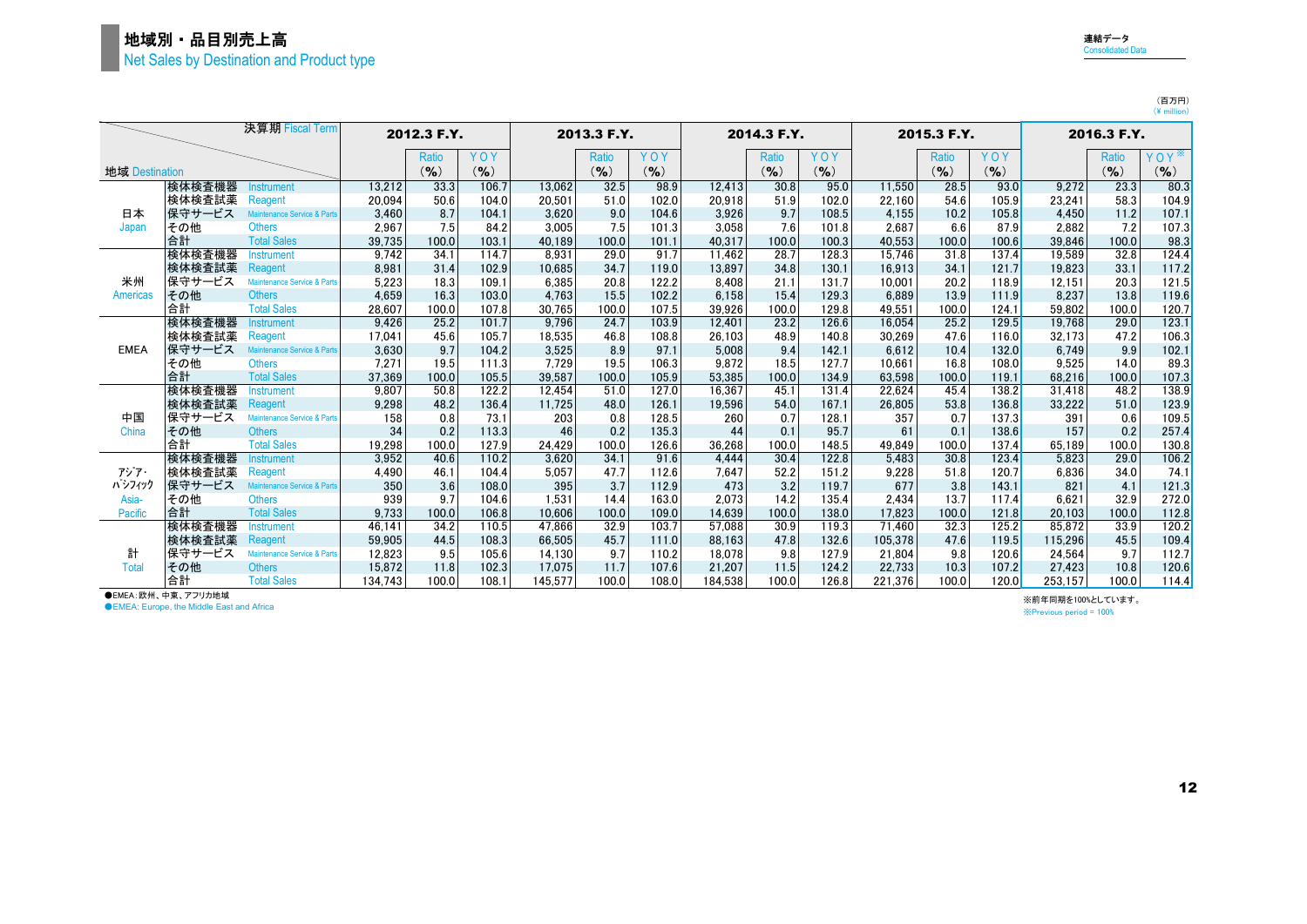| × |  |   |
|---|--|---|
|   |  | ٠ |
|   |  |   |

|                |        | 決算期 Fiscal Term                        |         | 2012.3 F.Y.  |           |         | 2013.3 F.Y. |           |         | 2014.3 F.Y. |           |         | 2015.3 F.Y.  |           |         | 2016.3 F.Y.  |           |
|----------------|--------|----------------------------------------|---------|--------------|-----------|---------|-------------|-----------|---------|-------------|-----------|---------|--------------|-----------|---------|--------------|-----------|
|                |        |                                        |         | <b>Ratio</b> | YOY       |         | Ratio       | YOY       |         | Ratio       | YOY       |         | <b>Ratio</b> | YOY       |         | <b>Ratio</b> | YOY       |
| 地域 Destination |        |                                        |         | $(9)_{0}$    | $($ % $)$ |         | (9/6)       | $($ % $)$ |         | $($ % $)$   | $($ % $)$ |         | $(9)_{0}$    | $($ % $)$ |         | $($ % $)$    | $($ % $)$ |
|                | 検体検査機器 | <b>Instrument</b>                      | 13.212  | 33.3         | 106.7     | 13.062  | 32.5        | 98.9      | 12.413  | 30.8        | 95.0      | 11.550  | 28.5         | 93.0      | 9,272   | 23.3         | 80.3      |
|                | 検体検査試薬 | Reagent                                | 20.094  | 50.6         | 104.0     | 20,501  | 51.0        | 102.0     | 20,918  | 51.9        | 102.0     | 22,160  | 54.6         | 105.9     | 23,241  | 58.3         | 104.9     |
| 日本             | 保守サービス | Maintenance Service & Parts            | 3.460   | 8.7          | 104.1     | 3.620   | 9.0         | 104.6     | 3,926   | 9.7         | 108.5     | 4.155   | 10.2         | 105.8     | 4.450   | 11.2         | 107.1     |
| Japan          | その他    | <b>Others</b>                          | 2.967   | 7.5          | 84.2      | 3.005   | 7.5         | 101.3     | 3.058   | 7.6         | 101.8     | 2.687   | 6.6          | 87.9      | 2.882   | 7.2          | 107.3     |
|                | 合計     | <b>Total Sales</b>                     | 39.735  | 100.0        | 103.1     | 40.189  | 100.0       | 101.1     | 40,317  | 100.0       | 100.3     | 40.553  | 100.0        | 100.6     | 39.846  | 100.0        | 98.3      |
|                | 検体検査機器 | <b>Instrument</b>                      | 9.742   | 34.1         | 114.7     | 8.931   | 29.0        | 91.7      | 11.462  | 28.7        | 128.3     | 15.746  | 31.8         | 137.4     | 19,589  | 32.8         | 124.4     |
|                | 検体検査試薬 | Reagent                                | 8,981   | 31.4         | 102.9     | 10.685  | 34.7        | 119.0     | 13,897  | 34.8        | 130.1     | 16.913  | 34.1         | 121.7     | 19.823  | 33.1         | 117.2     |
| 米州             | 保守サービス | <b>Maintenance Service &amp; Parts</b> | 5,223   | 18.3         | 109.1     | 6.385   | 20.8        | 122.2     | 8,408   | 21.1        | 131.7     | 10.001  | 20.2         | 118.9     | 12.151  | 20.3         | 121.5     |
| Americas       | その他    | <b>Others</b>                          | 4,659   | 16.3         | 103.0     | 4,763   | 15.5        | 102.2     | 6,158   | 15.4        | 129.3     | 6.889   | 13.9         | 111.9     | 8,237   | 13.8         | 119.6     |
|                | 合計     | <b>Total Sales</b>                     | 28.607  | 100.0        | 107.8     | 30.765  | 100.0       | 107.5     | 39.926  | 100.0       | 129.8     | 49.551  | 100.0        | 124.1     | 59.802  | 100.0        | 120.7     |
|                | 検体検査機器 | Instrument                             | 9.426   | 25.2         | 101.7     | 9.796   | 24.7        | 103.9     | 12.401  | 23.2        | 126.6     | 16.054  | 25.2         | 129.5     | 19.768  | 29.0         | 123.1     |
|                | 検体検査試薬 | Reagent                                | 17.041  | 45.6         | 105.7     | 18,535  | 46.8        | 108.8     | 26.103  | 48.9        | 140.8     | 30.269  | 47.6         | 116.0     | 32.173  | 47.2         | 106.3     |
| <b>EMEA</b>    | 保守サービス | Maintenance Service & Parts            | 3,630   | 9.7          | 104.2     | 3,525   | 8.9         | 97.1      | 5,008   | 9.4         | 142.1     | 6,612   | 10.4         | 132.0     | 6,749   | 9.9          | 102.1     |
|                | その他    | <b>Others</b>                          | 7.271   | 19.5         | 111.3     | 7.729   | 19.5        | 106.3     | 9.872   | 18.5        | 127.7     | 10.661  | 16.8         | 108.0     | 9.525   | 14.0         | 89.3      |
|                | 合計     | <b>Total Sales</b>                     | 37.369  | 100.0        | 105.5     | 39.587  | 100.0       | 105.9     | 53.385  | 100.0       | 134.9     | 63.598  | 100.0        | 119.1     | 68.216  | 100.0        | 107.3     |
|                | 検体検査機器 | <b>nstrument</b>                       | 9.807   | 50.8         | 122.2     | 12.454  | 51.0        | 127.0     | 16.367  | 45.1        | 131.4     | 22.624  | 45.4         | 138.2     | 31.418  | 48.2         | 138.9     |
|                | 検体検査試薬 | Reagent                                | 9,298   | 48.2         | 136.4     | 11.725  | 48.0        | 126.1     | 19.596  | 54.0        | 167.1     | 26.805  | 53.8         | 136.8     | 33,222  | 51.0         | 123.9     |
| 中国             | 保守サービス | Maintenance Service & Parts            | 158     | 0.8          | 73.1      | 203     | 0.8         | 128.5     | 260     | 0.7         | 128.1     | 357     | 0.7          | 137.3     | 391     | 0.6          | 109.5     |
| China          | その他    | <b>Others</b>                          | 34      | 0.2          | 113.3     | 46      | 0.2         | 135.3     | 44      | 0.1         | 95.7      | 61      | 0.1          | 138.6     | 157     | 0.2          | 257.4     |
|                | 合計     | <b>Total Sales</b>                     | 19.298  | 100.0        | 127.9     | 24.429  | 100.0       | 126.6     | 36,268  | 100.0       | 148.5     | 49.849  | 100.0        | 137.4     | 65.189  | 100.0        | 130.8     |
|                | 検体検査機器 | <b>Instrument</b>                      | 3,952   | 40.6         | 110.2     | 3.620   | 34.1        | 91.6      | 4,444   | 30.4        | 122.8     | 5.483   | 30.8         | 123.4     | 5.823   | 29.0         | 106.2     |
| アジア・           | 検体検査試薬 | Reagent                                | 4,490   | 46.1         | 104.4     | 5,057   | 47.7        | 112.6     | 7.647   | 52.2        | 151.2     | 9,228   | 51.8         | 120.7     | 6,836   | 34.0         | 74.1      |
| パシフィック         | 保守サービス | Maintenance Service & Parts            | 350     | 3.6          | 108.0     | 395     | 3.7         | 112.9     | 473     | 3.2         | 119.7     | 677     | 3.8          | 143.1     | 821     | 4.1          | 121.3     |
| Asia-          | その他    | <b>Others</b>                          | 939     | 9.7          | 104.6     | 1.531   | 14.4        | 163.0     | 2.073   | 14.2        | 135.4     | 2.434   | 13.7         | 117.4     | 6.621   | 32.9         | 272.0     |
| <b>Pacific</b> | 合計     | <b>Total Sales</b>                     | 9.733   | 100.0        | 106.8     | 10.606  | 100.0       | 109.0     | 14.639  | 100.0       | 138.0     | 17.823  | 100.0        | 121.8     | 20.103  | 100.0        | 112.8     |
|                | 検体検査機器 | <b>Instrument</b>                      | 46.141  | 34.2         | 110.5     | 47.866  | 32.9        | 103.7     | 57.088  | 30.9        | 119.3     | 71.460  | 32.3         | 125.2     | 85.872  | 33.9         | 120.2     |
|                | 検体検査試薬 | Reagent                                | 59.905  | 44.5         | 108.3     | 66.505  | 45.7        | 111.0     | 88.163  | 47.8        | 132.6     | 105.378 | 47.6         | 119.5     | 115,296 | 45.5         | 109.4     |
| 計              | 保守サービス | <b>Maintenance Service &amp; Parts</b> | 12.823  | 9.5          | 105.6     | 14.130  | 9.7         | 110.2     | 18.078  | 9.8         | 127.9     | 21.804  | 9.8          | 120.6     | 24.564  | 9.7          | 112.7     |
| Total          | その他    | <b>Others</b>                          | 15.872  | 11.8         | 102.3     | 17.075  | 11.7        | 107.6     | 21.207  | 11.5        | 124.2     | 22.733  | 10.3         | 107.2     | 27.423  | 10.8         | 120.6     |
|                | 合計     | <b>Total Sales</b>                     | 134.743 | 100.0        | 108.1     | 145.577 | 100.0       | 108.0     | 184.538 | 100.0       | 126.8     | 221.376 | 100.0        | 120.0     | 253.157 | 100.0        | 114.4     |

**●EMEA:欧州、中東、アフリカ地域** 

●EMEA: Europe, the Middle East and Africa

※前年同期を100%としています。 ※Previous period = 100%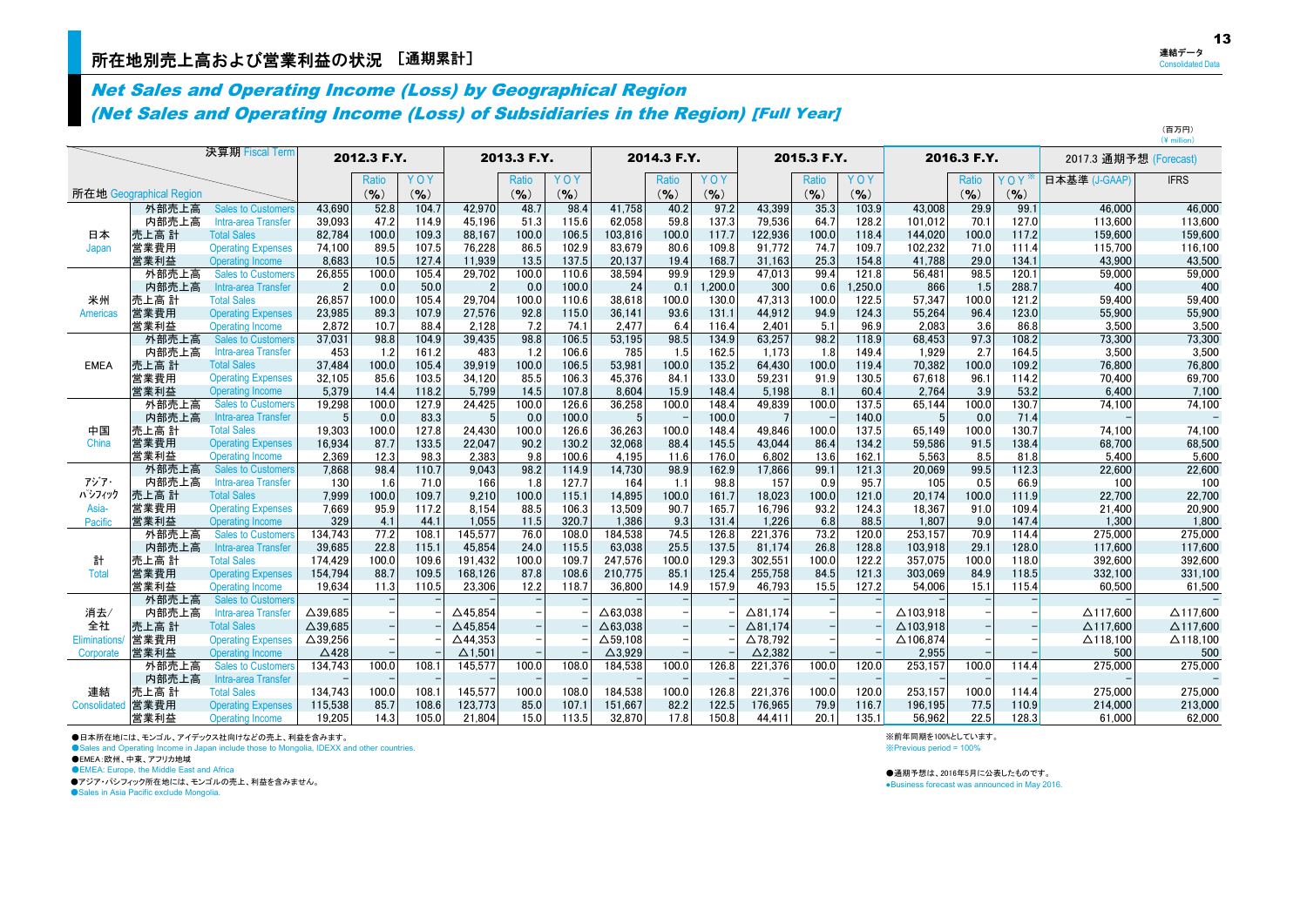## Net Sales and Operating Income (Loss) by Geographical Region (Net Sales and Operating Income (Loss) of Subsidiaries in the Region) [Full Year]

|                 |                         | 決算期 Fiscal Term                                      |                    | 2012.3 F.Y.   |                |                    | 2013.3 F.Y.   |                |                    | 2014.3 F.Y.   |                |                  | 2015.3 F.Y.   |                |                  | 2016.3 F.Y.  |                | 2017.3 通期予想 (Forecast) |                     |
|-----------------|-------------------------|------------------------------------------------------|--------------------|---------------|----------------|--------------------|---------------|----------------|--------------------|---------------|----------------|------------------|---------------|----------------|------------------|--------------|----------------|------------------------|---------------------|
|                 |                         |                                                      |                    | Ratio         | YOY            |                    | <b>Ratio</b>  | YOY            |                    | Ratio         | YOY            |                  | Ratio         | YOY            |                  | Ratio        | YOY            | 日本基準 (J-GAAP)          | <b>IFRS</b>         |
|                 | 所在地 Geographical Region |                                                      |                    | $(9)_{0}$     | (%)            |                    | $($ % $)$     | $($ % $)$      |                    | $(9)_{0}$     | (9/6)          |                  | $($ % $)$     | $($ % $)$      |                  | $(9)_{0}$    | (9/6)          |                        |                     |
|                 | 外部売上高                   | <b>Sales to Customers</b>                            | 43.690             | 52.8          | 104.7          | 42.970             | 48.7          | 98.4           | 41.758             | 40.2          | 97.2           | 43,399           | 35.3          | 103.9          | 43.008           | 29.9         | 99.1           | 46.000                 | 46.000              |
|                 | 内部売上高                   | Intra-area Transfer                                  | 39,093             | 47.2          | 114.9          | 45.196             | 51.3          | 115.6          | 62,058             | 59.8          | 137.3          | 79.536           | 64.7          | 128.2          | 101.012          | 70.1         | 127.0          | 113.600                | 113,600             |
| 日本              | 売上高 計                   | <b>Total Sales</b>                                   | 82,784             | 100.0         | 109.3          | 88.167             | 100.0         | 106.5          | 103,816            | 100.0         | 117.7          | 122,936          | 100.0         | 118.4          | 144.020          | 100.0        | 117.2          | 159.600                | 159,600             |
| Japan           | 営業費用                    | <b>Operating Expenses</b>                            | 74,100             | 89.5          | 107.5          | 76.228             | 86.5          | 102.9          | 83,679             | 80.6          | 109.8          | 91.772           | 74.7          | 109.7          | 102,232          | 71.0         | 111.4          | 115.700                | 116,100             |
|                 | 営業利益                    | Operating Income                                     | 8.683              | 10.5          | 127.4          | 11.939             | 13.5          | 137.5          | 20,137             | 19.4          | 168.7          | 31,163           | 25.3          | 154.8          | 41.788           | 29.0         | 134.1          | 43.900                 | 43,500              |
|                 | 外部売上高                   | <b>Sales to Customers</b>                            | 26,855             | 100.0         | 105.4          | 29,702             | 100.0         | 110.6          | 38,594             | 99.9          | 129.9          | 47,013           | 99.4          | 121.8          | 56,481           | 98.5         | 120.1          | 59,000                 | 59,000              |
|                 | 内部売上高                   | Intra-area Transfer                                  |                    | 0.0           | 50.0           |                    | 0.0           | 100.0          | 24                 | 0.1           | .200.0         | 300              | 0.6           | 1,250.0        | 866              | 1.5          | 288.7          | 400                    | 400                 |
| 米州              | 売上高 計                   | <b>Total Sales</b>                                   | 26,857             | 100.0         | 105.4          | 29.704             | 100.0         | 110.6          | 38,618             | 100.0         | 130.0          | 47,313           | 100.0         | 122.5          | 57.347           | 100.0        | 121.2          | 59,400                 | 59,400              |
| <b>Americas</b> | 営業費用                    | <b>Operating Expenses</b>                            | 23,985             | 89.3          | 107.9          | 27.576             | 92.8          | 115.0          | 36.141             | 93.6          | 131.1          | 44.912           | 94.9          | 124.3          | 55.264           | 96.4         | 123.0          | 55,900                 | 55,900              |
|                 | 営業利益                    | Operating Income                                     | 2,872              | 10.7          | 88.4           | 2,128              | 7.2           | 74.1           | 2,477              | 6.4           | 116.4          | 2,401            | 5.1           | 96.9           | 2.083            | 3.6          | 86.8           | 3,500                  | 3,500               |
|                 | 外部売上高                   | <b>Sales to Customers</b>                            | 37,031             | 98.8          | 104.9          | 39.435             | 98.8          | 106.5          | 53,195             | 98.5          | 134.9          | 63,257           | 98.2          | 118.9          | 68.453           | 97.3         | 108.2          | 73,300                 | 73,300              |
|                 | 内部売上高                   | Intra-area Transfer<br><b>Total Sales</b>            | 453                | 1.2           | 161.2<br>105.4 | 483<br>39.919      | 1.2           | 106.6          | 785                | 1.5           | 162.5          | 1,173            | 1.8           | 149.4          | 1,929<br>70.382  | 2.7<br>100.0 | 164.5<br>109.2 | 3,500                  | 3,500               |
| <b>EMEA</b>     | 売上高 計<br>営業費用           |                                                      | 37,484             | 100.0<br>85.6 | 103.5          | 34,120             | 100.0<br>85.5 | 106.5<br>106.3 | 53,981<br>45,376   | 100.0<br>84.1 | 135.2<br>133.0 | 64,430<br>59,231 | 100.0<br>91.9 | 119.4<br>130.5 | 67.618           | 96.1         | 114.2          | 76,800                 | 76,800<br>69,700    |
|                 | 営業利益                    | <b>Operating Expenses</b><br>Operating Income        | 32,105<br>5.379    | 14.4          | 118.2          | 5.799              | 14.5          | 107.8          | 8.604              | 15.9          | 148.4          | 5.198            | 8.1           | 60.4           | 2.764            | 3.9          | 53.2           | 70,400<br>6.400        | 7.100               |
|                 | 外部売上高                   | <b>Sales to Customers</b>                            | 19,298             | 100.0         | 127.9          | 24,425             | 100.0         | 126.6          | 36,258             | 100.0         | 148.4          | 49,839           | 100.0         | 137.5          | 65,144           | 100.0        | 130.7          | 74,100                 | 74,100              |
|                 | 内部売上高                   | Intra-area Transfer                                  | 5                  | 0.0           | 83.3           | 5                  | 0.0           | 100.0          | 5                  |               | 100.0          |                  |               | 140.0          |                  | 0.0          | 71.4           |                        |                     |
| 中国              | 売上高 計                   | <b>Total Sales</b>                                   | 19,303             | 100.0         | 127.8          | 24.430             | 100.0         | 126.6          | 36,263             | 100.0         | 148.4          | 49.846           | 100.0         | 137.5          | 65.149           | 100.0        | 130.7          | 74.100                 | 74,100              |
| China           | 営業費用                    | <b>Operating Expenses</b>                            | 16,934             | 87.7          | 133.5          | 22.047             | 90.2          | 130.2          | 32,068             | 88.4          | 145.5          | 43.044           | 86.4          | 134.2          | 59.586           | 91.5         | 138.4          | 68,700                 | 68,500              |
|                 | 営業利益                    | <b>Operating Income</b>                              | 2,369              | 12.3          | 98.3           | 2.383              | 9.8           | 100.6          | 4,195              | 11.6          | 176.0          | 6.802            | 13.6          | 162.1          | 5.563            | 8.5          | 81.8           | 5,400                  | 5,600               |
|                 | 外部売上高                   | <b>Sales to Customers</b>                            | 7,868              | 98.4          | 110.7          | 9.043              | 98.2          | 114.9          | 14,730             | 98.9          | 162.9          | 17,866           | 99.1          | 121.3          | 20.069           | 99.5         | 112.3          | 22,600                 | 22,600              |
| アジア・            | 内部売上高                   | Intra-area Transfer                                  | 130                | 1.6           | 71.0           | 166                | 1.8           | 127.7          | 164                | 1.1           | 98.8           | 157              | 0.9           | 95.7           | 105              | 0.5          | 66.9           | 100                    | 100                 |
| パシフィック          | 売上高 計                   | <b>Total Sales</b>                                   | 7.999              | 100.0         | 109.7          | 9.210              | 100.0         | 115.1          | 14,895             | 100.0         | 161.7          | 18.023           | 100.0         | 121.0          | 20.174           | 100.0        | 111.9          | 22.700                 | 22,700              |
| Asia-           | 営業費用                    | <b>Operating Expenses</b>                            | 7,669              | 95.9          | 117.2          | 8,154              | 88.5          | 106.3          | 13,509             | 90.7          | 165.7          | 16,796           | 93.2          | 124.3          | 18,367           | 91.0         | 109.4          | 21,400                 | 20,900              |
| Pacific         | 営業利益                    | Operating Income                                     | 329                | 4.1           | 44.1           | 1.055              | 11.5          | 320.7          | 1.386              | 9.3           | 131.4          | 1.226            | 6.8           | 88.5           | 1.807            | 9.0          | 147.4          | 1.300                  | 1,800               |
|                 | 外部売上高                   | <b>Sales to Customers</b>                            | 134.743            | 77.2          | 108.1          | 145.577            | 76.0          | 108.0          | 184.538            | 74.5          | 126.8          | 221.376          | 73.2          | 120.0          | 253.157          | 70.9         | 114.4          | 275.000                | 275,000             |
|                 | 内部売上高                   | Intra-area Transfer                                  | 39,685             | 22.8          | 115.1          | 45.854             | 24.0          | 115.5          | 63,038             | 25.5          | 137.5          | 81,174           | 26.8          | 128.8          | 103,918          | 29.1         | 128.0          | 117,600                | 117,600             |
| 計               | 売上高 計                   | <b>Total Sales</b>                                   | 174,429            | 100.0         | 109.6          | 191.432            | 100.0         | 109.7          | 247,576            | 100.0         | 129.3          | 302,551          | 100.0         | 122.2          | 357.075          | 100.0        | 118.0          | 392.600                | 392,600             |
| <b>Total</b>    | 営業費用                    | <b>Operating Expenses</b>                            | 154,794            | 88.7          | 109.5          | 168.126            | 87.8          | 108.6          | 210.775            | 85.1          | 125.4          | 255.758          | 84.5          | 121.3          | 303.069          | 84.9         | 118.5          | 332.100                | 331,100             |
|                 | 営業利益<br>外部売上高           | <b>Operating Income</b><br><b>Sales to Customers</b> | 19,634             | 11.3          | 110.5          | 23,306             | 12.2          | 118.7          | 36,800             | 14.9          | 157.9          | 46,793           | 15.5          | 127.2          | 54.006           | 15.1         | 115.4          | 60,500                 | 61,500              |
| 消去/             | 内部売上高                   | Intra-area Transfer                                  | $\triangle$ 39,685 |               |                | $\triangle$ 45.854 |               |                | $\triangle$ 63.038 |               |                | $\Delta$ 81.174  |               |                | $\Delta$ 103.918 |              |                | $\Delta$ 117.600       | $\triangle$ 117,600 |
| 全社              | 売上高 計                   | <b>Total Sales</b>                                   | $\Delta$ 39,685    |               |                | $\triangle$ 45.854 |               |                | $\Delta$ 63,038    |               |                | $\Delta$ 81,174  |               |                | $\Delta$ 103,918 |              |                | $\Delta$ 117.600       | $\triangle$ 117,600 |
| Eliminations    | 営業費用                    | <b>Operating Expenses</b>                            | $\Delta$ 39,256    |               |                | $\triangle$ 44.353 |               |                | $\Delta$ 59.108    |               |                | $\Delta$ 78,792  |               |                | △106.874         |              |                | $\Delta$ 118.100       | $\Delta$ 118,100    |
| Corporate       | 営業利益                    | <b>Operating Income</b>                              | $\Delta$ 428       |               |                | $\Delta$ 1,501     |               |                | $\Delta$ 3,929     |               |                | $\Delta$ 2,382   |               |                | 2,955            |              |                | 500                    | 500                 |
|                 | 外部売上高                   | <b>Sales to Customers</b>                            | 134,743            | 100.0         | 108.1          | 145,577            | 100.0         | 108.0          | 184,538            | 100.0         | 126.8          | 221,376          | 100.0         | 120.0          | 253,157          | 100.0        | 1144           | 275,000                | 275,000             |
|                 | 内部売上高                   | Intra-area Transfer                                  |                    |               |                |                    |               |                |                    |               |                |                  |               |                |                  |              |                |                        |                     |
| 連結              | 売上高 計                   | <b>Total Sales</b>                                   | 134.743            | 100.0         | 108.1          | 145.577            | 100.0         | 108.0          | 184.538            | 100.0         | 126.8          | 221.376          | 100.0         | 120.0          | 253.157          | 100.0        | 114.4          | 275.000                | 275,000             |
| Consolidated    | 営業費用                    | <b>Operating Expenses</b>                            | 115,538            | 85.7          | 108.6          | 123,773            | 85.0          | 107.1          | 151,667            | 82.2          | 122.5          | 176,965          | 79.9          | 116.7          | 196,195          | 77.5         | 110.9          | 214,000                | 213,000             |
|                 | 営業利益                    | Operating Income                                     | 19.205             | 14.3          | 105.0          | 21.804             | 15.0          | 113.5          | 32.870             | 17.8          | 150.8          | 44.411           | 20.1          | 135.1          | 56.962           | 22.5         | 128.3          | 61.000                 | 62.000              |

●日本所在地には、モンゴル、アイデックス社向けなどの売上、利益を含みます。

● Sales and Operating Income in Japan include those to Mongolia, IDEXX and other countries.

●EMEA:欧州、中東、アフリカ地域

●EMEA: Europe, the Middle East and Africa

●アジア・パシフィック所在地には、モンゴルの売上、利益を含みません。

●Sales in Asia Pacific exclude Mongolia.

※前年同期を100%としています。 ※Previous period = 100%

●通期予想は、2016年5月に公表したものです。 ●Business forecast was announced in May 2016.

(百万円)  $(\frac{1}{2})$  million)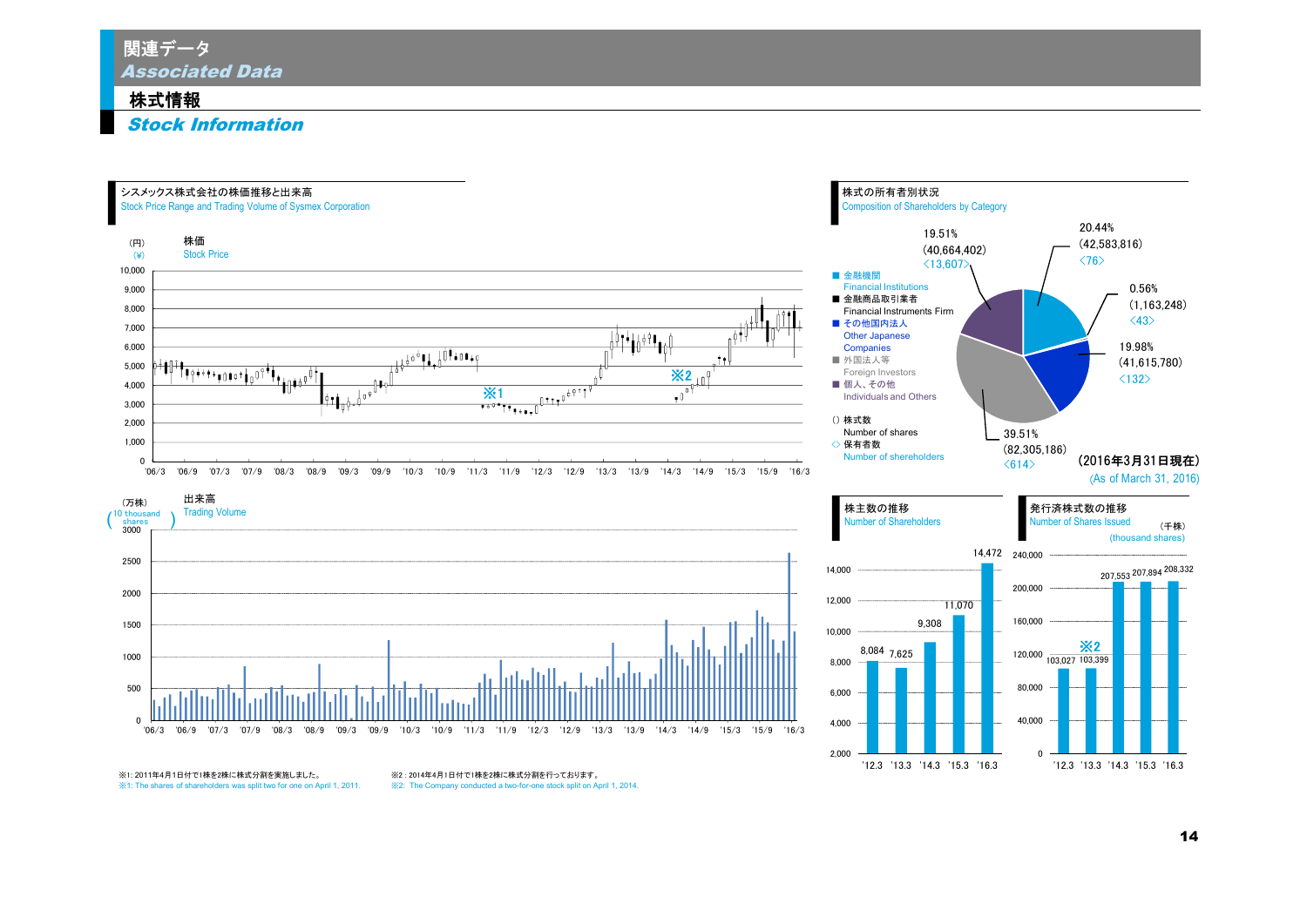Associated Data 関連データ

## 株式情報

Stock Information

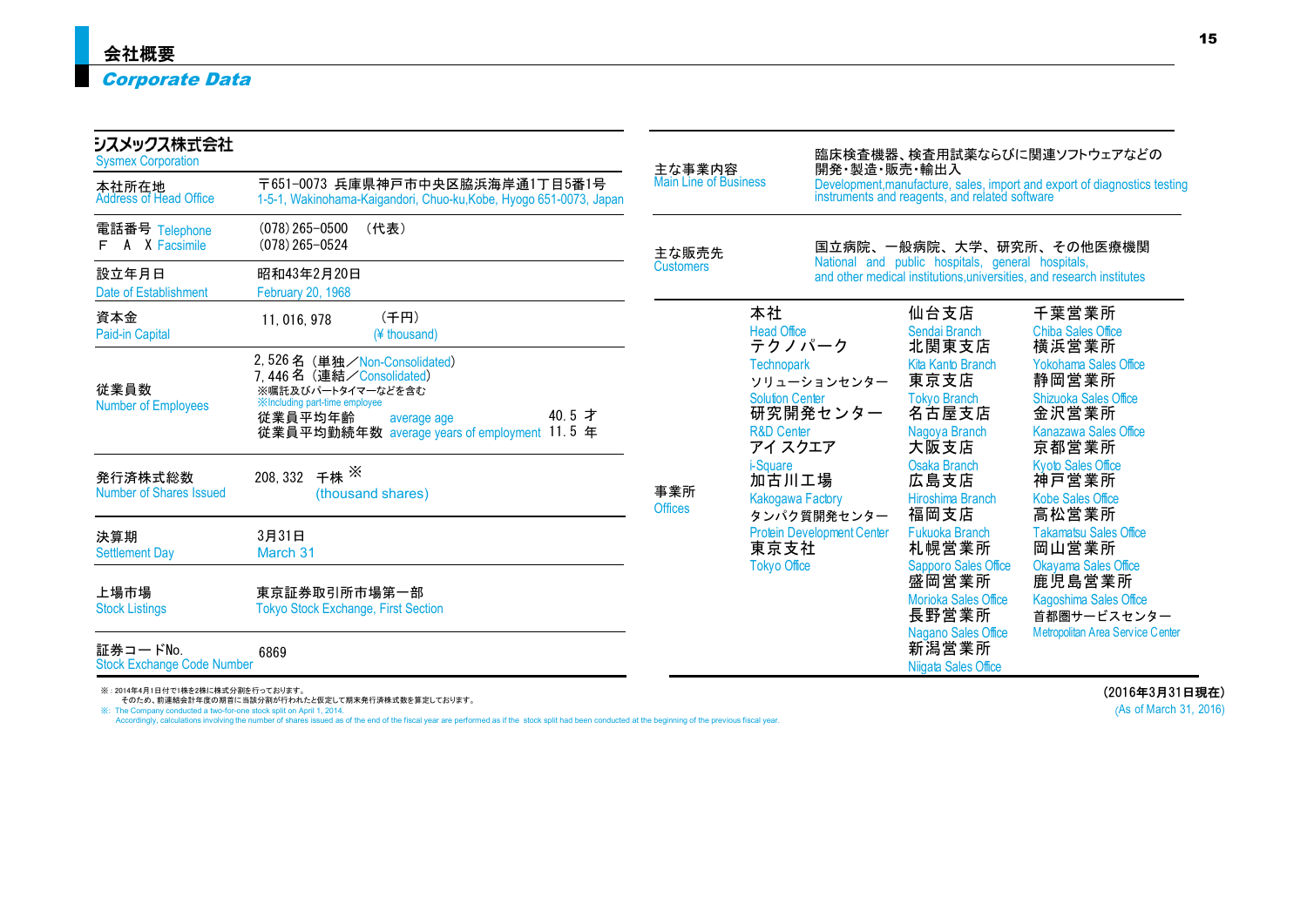| シスメックス株式会社<br><b>Sysmex Corporation</b>       |                                                                                                                                                                                                          | 主な事業内容                       |                                                                                                                           | 臨床検査機器、検査用試薬ならびに関連ソフトウェアなどの<br>開発·製造·販売·輸出入                                                                              |                                                                                    |                                                                                                                  |  |  |
|-----------------------------------------------|----------------------------------------------------------------------------------------------------------------------------------------------------------------------------------------------------------|------------------------------|---------------------------------------------------------------------------------------------------------------------------|--------------------------------------------------------------------------------------------------------------------------|------------------------------------------------------------------------------------|------------------------------------------------------------------------------------------------------------------|--|--|
| 本社所在地<br><b>Address of Head Office</b>        | 1-5-1, Wakinohama-Kaigandori, Chuo-ku, Kobe, Hyogo 651-0073, Japan                                                                                                                                       | <b>Main Line of Business</b> |                                                                                                                           | Development, manufacture, sales, import and export of diagnostics testing instruments and reagents, and related software |                                                                                    |                                                                                                                  |  |  |
| 電話番号 Telephone<br>A X Facsimile               | 主な販売先                                                                                                                                                                                                    |                              | 国立病院、一般病院、大学、研究所、その他医療機関                                                                                                  |                                                                                                                          |                                                                                    |                                                                                                                  |  |  |
| 設立年月日<br><b>Date of Establishment</b>         | 昭和43年2月20日<br>February 20, 1968                                                                                                                                                                          | <b>Customers</b>             | National and public hospitals, general hospitals,<br>and other medical institutions universities, and research institutes |                                                                                                                          |                                                                                    |                                                                                                                  |  |  |
| 資本金<br>Paid-in Capital                        | (千円)<br>11, 016, 978<br>(¥ thousand)                                                                                                                                                                     |                              | 本社<br><b>Head Office</b><br>テクノパーク                                                                                        |                                                                                                                          | 仙台支店<br>Sendai Branch<br>北関東支店                                                     | 千葉営業所<br><b>Chiba Sales Office</b><br>横浜営業所                                                                      |  |  |
| 従業員数<br><b>Number of Employees</b>            | 2,526名 (単独/Non-Consolidated)<br>7.446名(連結/Consolidated)<br>※嘱託及びパートタイマーなどを含む<br><b>XIncluding part-time employee</b><br>40.5 才<br>従業員平均年齢<br>average age<br>従業員平均勤続年数 average years of employment 11.5 年 |                              | <b>Technopark</b><br><b>Solution Center</b><br><b>R&amp;D Center</b><br>アイ スクエア                                           | ソリューションセンター<br>研究開発センター                                                                                                  | Kita Kanto Branch<br>東京支店<br><b>Tokyo Branch</b><br>名古屋支店<br>Nagoya Branch<br>大阪支店 | <b>Yokohama Sales Office</b><br>静岡営業所<br><b>Shizuoka Sales Office</b><br>金沢営業所<br>Kanazawa Sales Office<br>京都営業所 |  |  |
| 発行済株式総数<br>Number of Shares Issued            | 千株 ×<br>208, 332<br>(thousand shares)                                                                                                                                                                    | 事業所<br><b>Offices</b>        | <i>i-Square</i><br>加古川工場<br><b>Kakogawa Factory</b>                                                                       |                                                                                                                          | <b>Osaka Branch</b><br>広島支店<br>Hiroshima Branch<br>福岡支店                            | <b>Kyoto Sales Office</b><br>神戸営業所<br><b>Kobe Sales Office</b><br>高松営業所                                          |  |  |
| 決算期<br><b>Settlement Day</b>                  | 3月31日<br>March 31                                                                                                                                                                                        |                              | 東京支社<br><b>Tokyo Office</b>                                                                                               | タンパク質開発センター<br><b>Protein Development Center</b>                                                                         | Fukuoka Branch<br>札幌営業所<br><b>Sapporo Sales Office</b>                             | <b>Takamatsu Sales Office</b><br>岡山営業所<br>Okavama Sales Office                                                   |  |  |
| 上場市場<br><b>Stock Listings</b>                 | 東京証券取引所市場第一部<br><b>Tokyo Stock Exchange, First Section</b>                                                                                                                                               |                              |                                                                                                                           |                                                                                                                          | 盛岡営業所<br><b>Morioka Sales Office</b><br>長野営業所                                      | 鹿児島営業所<br>Kagoshima Sales Office<br>首都圏サービスセンター                                                                  |  |  |
| 証券コードNo.<br><b>Stock Exchange Code Number</b> | 6869                                                                                                                                                                                                     |                              |                                                                                                                           |                                                                                                                          | Nagano Sales Office<br>新潟営業所<br>Nijgata Sales Office                               | Metropolitan Area Service Center                                                                                 |  |  |

※ : 2014年4月1日付で1株を2株に株式分割を行っております。<br>- そのため、前連結会計年度の期首に当該分割が行われたと仮定して期末発行済株式数を算定しております。<br>※: The Company conducted a two-for-one stock split on April 1, 2014.<br>Accordingly, calculations involving the number of shares issued a

(2016年3月31日現在) (As of March 31, 2016)